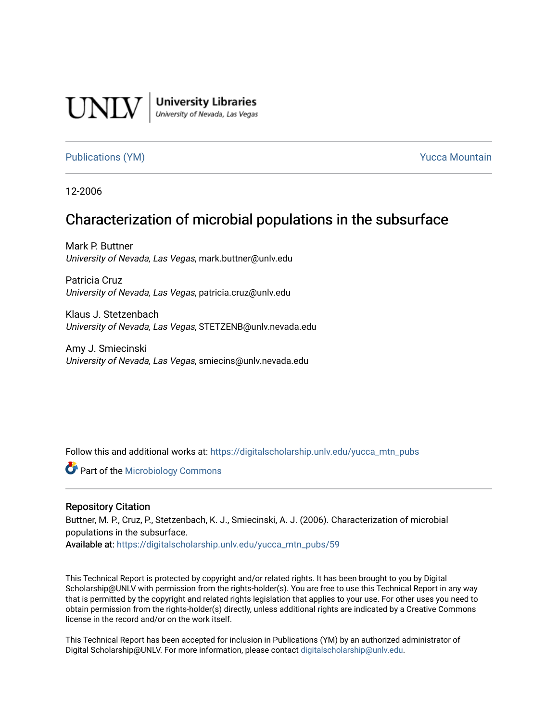

**University Libraries**<br>University of Nevada, Las Vegas

## [Publications \(YM\)](https://digitalscholarship.unlv.edu/yucca_mtn_pubs) **Publications (YM) Publications (YM) Publications** (*YM*)

12-2006

# Characterization of microbial populations in the subsurface

Mark P. Buttner University of Nevada, Las Vegas, mark.buttner@unlv.edu

Patricia Cruz University of Nevada, Las Vegas, patricia.cruz@unlv.edu

Klaus J. Stetzenbach University of Nevada, Las Vegas, STETZENB@unlv.nevada.edu

Amy J. Smiecinski University of Nevada, Las Vegas, smiecins@unlv.nevada.edu

Follow this and additional works at: [https://digitalscholarship.unlv.edu/yucca\\_mtn\\_pubs](https://digitalscholarship.unlv.edu/yucca_mtn_pubs?utm_source=digitalscholarship.unlv.edu%2Fyucca_mtn_pubs%2F59&utm_medium=PDF&utm_campaign=PDFCoverPages)

**C** Part of the [Microbiology Commons](http://network.bepress.com/hgg/discipline/48?utm_source=digitalscholarship.unlv.edu%2Fyucca_mtn_pubs%2F59&utm_medium=PDF&utm_campaign=PDFCoverPages)

#### Repository Citation

Buttner, M. P., Cruz, P., Stetzenbach, K. J., Smiecinski, A. J. (2006). Characterization of microbial populations in the subsurface.

Available at: [https://digitalscholarship.unlv.edu/yucca\\_mtn\\_pubs/59](https://digitalscholarship.unlv.edu/yucca_mtn_pubs/59) 

This Technical Report is protected by copyright and/or related rights. It has been brought to you by Digital Scholarship@UNLV with permission from the rights-holder(s). You are free to use this Technical Report in any way that is permitted by the copyright and related rights legislation that applies to your use. For other uses you need to obtain permission from the rights-holder(s) directly, unless additional rights are indicated by a Creative Commons license in the record and/or on the work itself.

This Technical Report has been accepted for inclusion in Publications (YM) by an authorized administrator of Digital Scholarship@UNLV. For more information, please contact [digitalscholarship@unlv.edu](mailto:digitalscholarship@unlv.edu).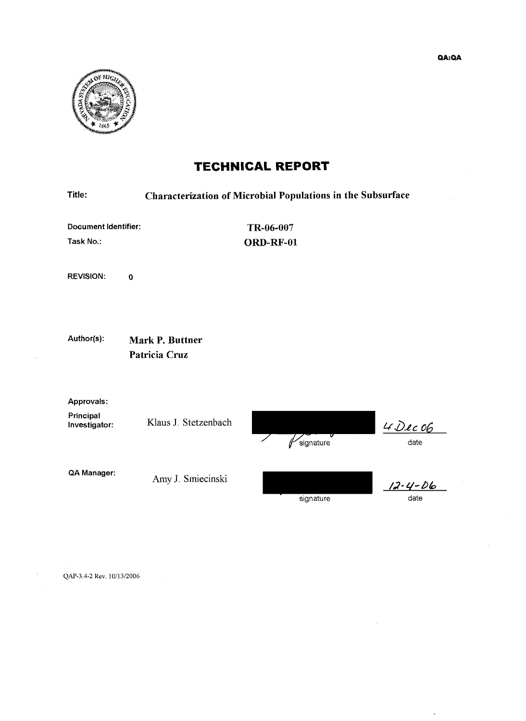

# **TECHNICAL REPORT**

| Title:                                   | <b>Characterization of Microbial Populations in the Subsurface</b> |                        |                       |  |  |
|------------------------------------------|--------------------------------------------------------------------|------------------------|-----------------------|--|--|
| <b>Document Identifier:</b><br>Task No.: |                                                                    | TR-06-007<br>ORD-RF-01 |                       |  |  |
| <b>REVISION.</b>                         | $\mathbf 0$                                                        |                        |                       |  |  |
| Author(s):                               | <b>Mark P. Buttner</b><br>Patricia Cruz                            |                        |                       |  |  |
| Approvals:<br>Principal<br>Investigator: | Klaus J. Stetzenbach                                               | signature              | $4$ Dec 06<br>date    |  |  |
| QA Manager:                              | Amy J. Smiecinski                                                  | signature              | $12 - 4 - 06$<br>date |  |  |

QAP-3.4-2 Rev. 10/13/2006

 $\overline{a}$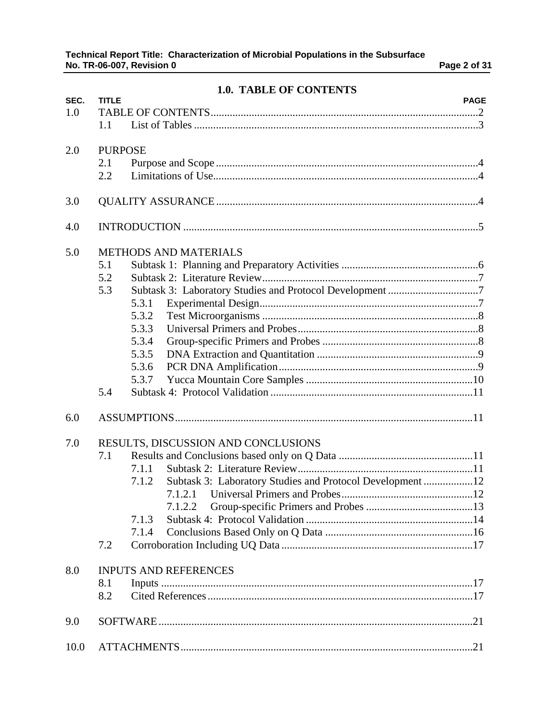|      |                | <b>1.0. TABLE OF CONTENTS</b>                                      |
|------|----------------|--------------------------------------------------------------------|
| SEC. | <b>TITLE</b>   | <b>PAGE</b>                                                        |
| 1.0  |                |                                                                    |
|      | 1.1            |                                                                    |
| 2.0  | <b>PURPOSE</b> |                                                                    |
|      | 2.1            |                                                                    |
|      | 2.2            |                                                                    |
| 3.0  |                |                                                                    |
| 4.0  |                |                                                                    |
| 5.0  |                | <b>METHODS AND MATERIALS</b>                                       |
|      | 5.1            |                                                                    |
|      | 5.2            |                                                                    |
|      | 5.3            |                                                                    |
|      |                | 5.3.1                                                              |
|      |                | 5.3.2                                                              |
|      |                | 5.3.3                                                              |
|      |                | 5.3.4                                                              |
|      |                | 5.3.5                                                              |
|      |                | 5.3.6                                                              |
|      |                | 5.3.7                                                              |
|      | 5.4            |                                                                    |
| 6.0  |                |                                                                    |
| 7.0  |                | RESULTS, DISCUSSION AND CONCLUSIONS                                |
|      | 7.1            |                                                                    |
|      |                | 7.1.1                                                              |
|      |                | Subtask 3: Laboratory Studies and Protocol Development 12<br>7.1.2 |
|      |                |                                                                    |
|      |                | 7.1.2.2                                                            |
|      |                | 7.1.3                                                              |
|      |                | 7.1.4                                                              |
|      | 7.2            |                                                                    |
| 8.0  |                | <b>INPUTS AND REFERENCES</b>                                       |
|      | 8.1            |                                                                    |
|      | 8.2            |                                                                    |
| 9.0  |                |                                                                    |
| 10.0 |                |                                                                    |

# **1.0. TABLE OF CONTENTS**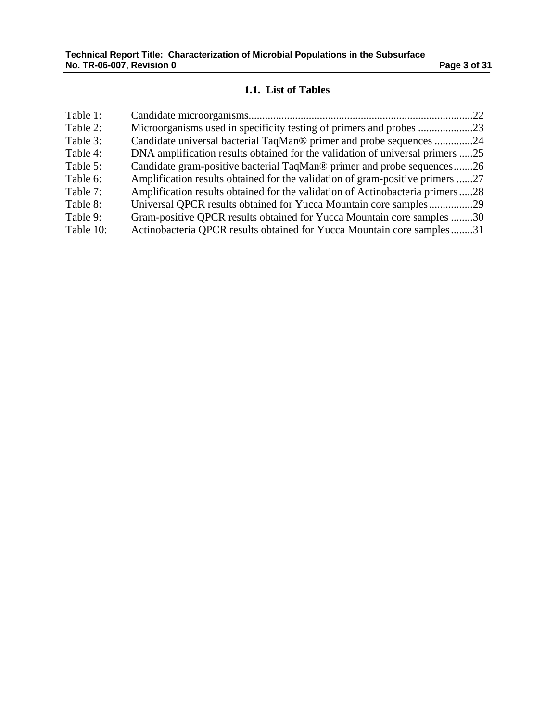# **1.1. List of Tables**

| Table 1:  |                                                                               |  |
|-----------|-------------------------------------------------------------------------------|--|
| Table 2:  |                                                                               |  |
| Table 3:  | Candidate universal bacterial TaqMan® primer and probe sequences 24           |  |
| Table 4:  | DNA amplification results obtained for the validation of universal primers 25 |  |
| Table 5:  | Candidate gram-positive bacterial TaqMan® primer and probe sequences26        |  |
| Table 6:  | Amplification results obtained for the validation of gram-positive primers 27 |  |
| Table 7:  | Amplification results obtained for the validation of Actinobacteria primers28 |  |
| Table 8:  | Universal QPCR results obtained for Yucca Mountain core samples29             |  |
| Table 9:  | Gram-positive QPCR results obtained for Yucca Mountain core samples 30        |  |
| Table 10: | Actinobacteria QPCR results obtained for Yucca Mountain core samples31        |  |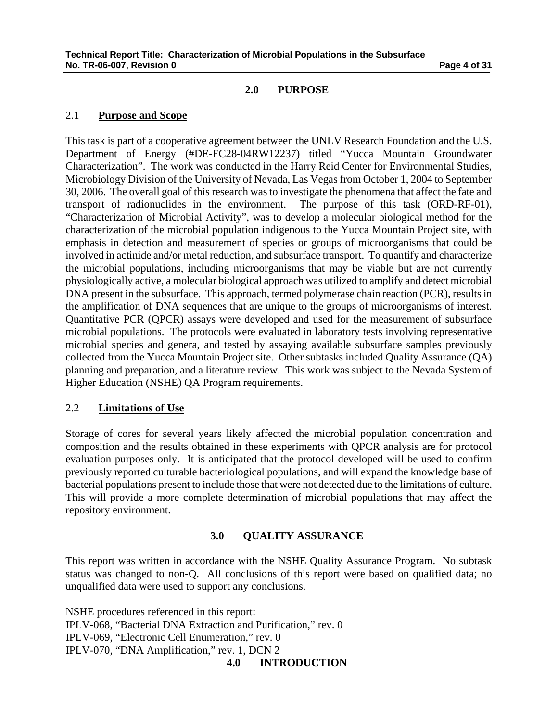#### **2.0 PURPOSE**

### 2.1 **Purpose and Scope**

This task is part of a cooperative agreement between the UNLV Research Foundation and the U.S. Department of Energy (#DE-FC28-04RW12237) titled "Yucca Mountain Groundwater Characterization". The work was conducted in the Harry Reid Center for Environmental Studies, Microbiology Division of the University of Nevada, Las Vegas from October 1, 2004 to September 30, 2006. The overall goal of this research was to investigate the phenomena that affect the fate and transport of radionuclides in the environment. The purpose of this task (ORD-RF-01), "Characterization of Microbial Activity", was to develop a molecular biological method for the characterization of the microbial population indigenous to the Yucca Mountain Project site, with emphasis in detection and measurement of species or groups of microorganisms that could be involved in actinide and/or metal reduction, and subsurface transport. To quantify and characterize the microbial populations, including microorganisms that may be viable but are not currently physiologically active, a molecular biological approach was utilized to amplify and detect microbial DNA present in the subsurface. This approach, termed polymerase chain reaction (PCR), results in the amplification of DNA sequences that are unique to the groups of microorganisms of interest. Quantitative PCR (QPCR) assays were developed and used for the measurement of subsurface microbial populations. The protocols were evaluated in laboratory tests involving representative microbial species and genera, and tested by assaying available subsurface samples previously collected from the Yucca Mountain Project site. Other subtasks included Quality Assurance (QA) planning and preparation, and a literature review. This work was subject to the Nevada System of Higher Education (NSHE) QA Program requirements.

#### 2.2 **Limitations of Use**

Storage of cores for several years likely affected the microbial population concentration and composition and the results obtained in these experiments with QPCR analysis are for protocol evaluation purposes only. It is anticipated that the protocol developed will be used to confirm previously reported culturable bacteriological populations, and will expand the knowledge base of bacterial populations present to include those that were not detected due to the limitations of culture. This will provide a more complete determination of microbial populations that may affect the repository environment.

### **3.0 QUALITY ASSURANCE**

This report was written in accordance with the NSHE Quality Assurance Program. No subtask status was changed to non-Q. All conclusions of this report were based on qualified data; no unqualified data were used to support any conclusions.

NSHE procedures referenced in this report: IPLV-068, "Bacterial DNA Extraction and Purification," rev. 0 IPLV-069, "Electronic Cell Enumeration," rev. 0 IPLV-070, "DNA Amplification," rev. 1, DCN 2 **4.0 INTRODUCTION**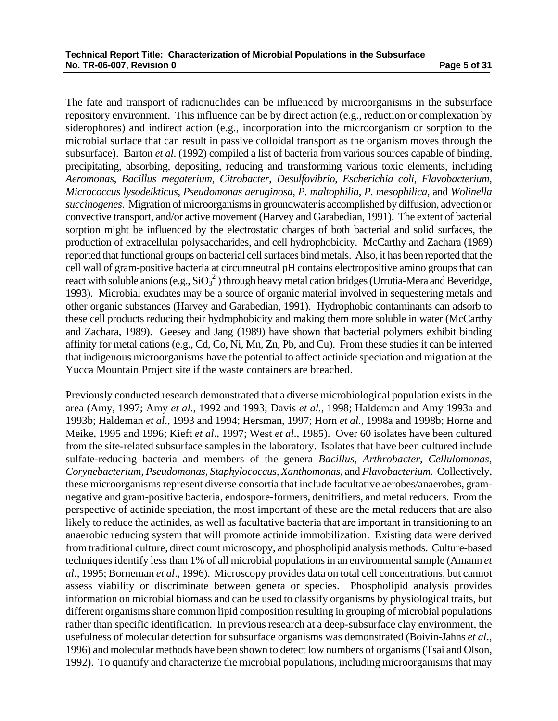The fate and transport of radionuclides can be influenced by microorganisms in the subsurface repository environment. This influence can be by direct action (e.g., reduction or complexation by siderophores) and indirect action (e.g., incorporation into the microorganism or sorption to the microbial surface that can result in passive colloidal transport as the organism moves through the subsurface). Barton *et al*. (1992) compiled a list of bacteria from various sources capable of binding, precipitating, absorbing, depositing, reducing and transforming various toxic elements, including *Aeromonas*, *Bacillus megaterium*, *Citrobacter*, *Desulfovibrio*, *Escherichia coli*, *Flavobacterium*, *Micrococcus lysodeikticus*, *Pseudomonas aeruginosa*, *P. maltophilia*, *P. mesophilica*, and *Wolinella succinogenes*. Migration of microorganisms in groundwater is accomplished by diffusion, advection or convective transport, and/or active movement (Harvey and Garabedian, 1991). The extent of bacterial sorption might be influenced by the electrostatic charges of both bacterial and solid surfaces, the production of extracellular polysaccharides, and cell hydrophobicity. McCarthy and Zachara (1989) reported that functional groups on bacterial cell surfaces bind metals. Also, it has been reported that the cell wall of gram-positive bacteria at circumneutral pH contains electropositive amino groups that can react with soluble anions (e.g.,  $SiO<sub>3</sub><sup>2</sup>$ ) through heavy metal cation bridges (Urrutia-Mera and Beveridge, 1993). Microbial exudates may be a source of organic material involved in sequestering metals and other organic substances (Harvey and Garabedian, 1991). Hydrophobic contaminants can adsorb to these cell products reducing their hydrophobicity and making them more soluble in water (McCarthy and Zachara, 1989). Geesey and Jang (1989) have shown that bacterial polymers exhibit binding affinity for metal cations (e.g., Cd, Co, Ni, Mn, Zn, Pb, and Cu). From these studies it can be inferred that indigenous microorganisms have the potential to affect actinide speciation and migration at the Yucca Mountain Project site if the waste containers are breached.

Previously conducted research demonstrated that a diverse microbiological population exists in the area (Amy, 1997; Amy *et al*., 1992 and 1993; Davis *et al.*, 1998; Haldeman and Amy 1993a and 1993b; Haldeman *et al*., 1993 and 1994; Hersman, 1997; Horn *et al.*, 1998a and 1998b; Horne and Meike, 1995 and 1996; Kieft *et al*., 1997; West *et al*., 1985). Over 60 isolates have been cultured from the site-related subsurface samples in the laboratory. Isolates that have been cultured include sulfate-reducing bacteria and members of the genera *Bacillus, Arthrobacter, Cellulomonas, Corynebacterium, Pseudomonas, Staphylococcus, Xanthomonas,* and *Flavobacterium.* Collectively, these microorganisms represent diverse consortia that include facultative aerobes/anaerobes, gramnegative and gram-positive bacteria, endospore-formers, denitrifiers, and metal reducers. From the perspective of actinide speciation, the most important of these are the metal reducers that are also likely to reduce the actinides, as well as facultative bacteria that are important in transitioning to an anaerobic reducing system that will promote actinide immobilization. Existing data were derived from traditional culture, direct count microscopy, and phospholipid analysis methods. Culture-based techniques identify less than 1% of all microbial populations in an environmental sample (Amann *et al*., 1995; Borneman *et al*., 1996). Microscopy provides data on total cell concentrations, but cannot assess viability or discriminate between genera or species. Phospholipid analysis provides information on microbial biomass and can be used to classify organisms by physiological traits, but different organisms share common lipid composition resulting in grouping of microbial populations rather than specific identification. In previous research at a deep-subsurface clay environment, the usefulness of molecular detection for subsurface organisms was demonstrated (Boivin-Jahns *et al*., 1996) and molecular methods have been shown to detect low numbers of organisms (Tsai and Olson, 1992). To quantify and characterize the microbial populations, including microorganisms that may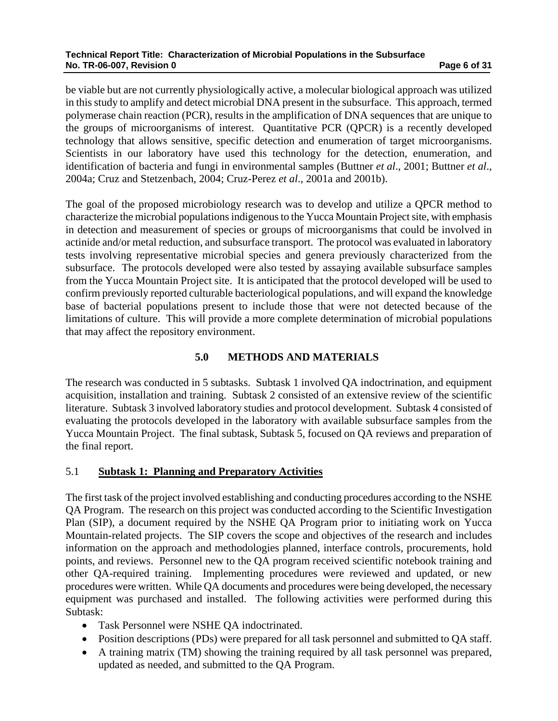be viable but are not currently physiologically active, a molecular biological approach was utilized in this study to amplify and detect microbial DNA present in the subsurface. This approach, termed polymerase chain reaction (PCR), results in the amplification of DNA sequences that are unique to the groups of microorganisms of interest. Quantitative PCR (QPCR) is a recently developed technology that allows sensitive, specific detection and enumeration of target microorganisms. Scientists in our laboratory have used this technology for the detection, enumeration, and identification of bacteria and fungi in environmental samples (Buttner *et al*., 2001; Buttner *et al*., 2004a; Cruz and Stetzenbach, 2004; Cruz-Perez *et al*., 2001a and 2001b).

The goal of the proposed microbiology research was to develop and utilize a QPCR method to characterize the microbial populations indigenous to the Yucca Mountain Project site, with emphasis in detection and measurement of species or groups of microorganisms that could be involved in actinide and/or metal reduction, and subsurface transport. The protocol was evaluated in laboratory tests involving representative microbial species and genera previously characterized from the subsurface. The protocols developed were also tested by assaying available subsurface samples from the Yucca Mountain Project site. It is anticipated that the protocol developed will be used to confirm previously reported culturable bacteriological populations, and will expand the knowledge base of bacterial populations present to include those that were not detected because of the limitations of culture. This will provide a more complete determination of microbial populations that may affect the repository environment.

# **5.0 METHODS AND MATERIALS**

The research was conducted in 5 subtasks. Subtask 1 involved QA indoctrination, and equipment acquisition, installation and training. Subtask 2 consisted of an extensive review of the scientific literature. Subtask 3 involved laboratory studies and protocol development. Subtask 4 consisted of evaluating the protocols developed in the laboratory with available subsurface samples from the Yucca Mountain Project. The final subtask, Subtask 5, focused on QA reviews and preparation of the final report.

### 5.1 **Subtask 1: Planning and Preparatory Activities**

The first task of the project involved establishing and conducting procedures according to the NSHE QA Program. The research on this project was conducted according to the Scientific Investigation Plan (SIP), a document required by the NSHE QA Program prior to initiating work on Yucca Mountain-related projects. The SIP covers the scope and objectives of the research and includes information on the approach and methodologies planned, interface controls, procurements, hold points, and reviews. Personnel new to the QA program received scientific notebook training and other QA-required training. Implementing procedures were reviewed and updated, or new procedures were written. While QA documents and procedures were being developed, the necessary equipment was purchased and installed. The following activities were performed during this Subtask:

- Task Personnel were NSHE QA indoctrinated.
- Position descriptions (PDs) were prepared for all task personnel and submitted to QA staff.
- A training matrix (TM) showing the training required by all task personnel was prepared, updated as needed, and submitted to the QA Program.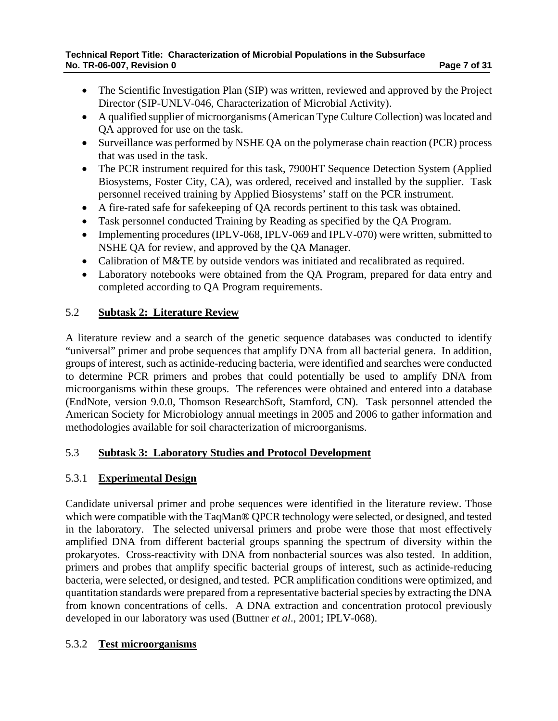- The Scientific Investigation Plan (SIP) was written, reviewed and approved by the Project Director (SIP-UNLV-046, Characterization of Microbial Activity).
- A qualified supplier of microorganisms (American Type Culture Collection) was located and QA approved for use on the task.
- Surveillance was performed by NSHE QA on the polymerase chain reaction (PCR) process that was used in the task.
- The PCR instrument required for this task, 7900HT Sequence Detection System (Applied Biosystems, Foster City, CA), was ordered, received and installed by the supplier. Task personnel received training by Applied Biosystems' staff on the PCR instrument.
- A fire-rated safe for safekeeping of QA records pertinent to this task was obtained.
- Task personnel conducted Training by Reading as specified by the QA Program.
- Implementing procedures (IPLV-068, IPLV-069 and IPLV-070) were written, submitted to NSHE QA for review, and approved by the QA Manager.
- Calibration of M&TE by outside vendors was initiated and recalibrated as required.
- Laboratory notebooks were obtained from the QA Program, prepared for data entry and completed according to QA Program requirements.

# 5.2 **Subtask 2: Literature Review**

A literature review and a search of the genetic sequence databases was conducted to identify "universal" primer and probe sequences that amplify DNA from all bacterial genera. In addition, groups of interest, such as actinide-reducing bacteria, were identified and searches were conducted to determine PCR primers and probes that could potentially be used to amplify DNA from microorganisms within these groups. The references were obtained and entered into a database (EndNote, version 9.0.0, Thomson ResearchSoft, Stamford, CN). Task personnel attended the American Society for Microbiology annual meetings in 2005 and 2006 to gather information and methodologies available for soil characterization of microorganisms.

# 5.3 **Subtask 3: Laboratory Studies and Protocol Development**

# 5.3.1 **Experimental Design**

Candidate universal primer and probe sequences were identified in the literature review. Those which were compatible with the TaqMan® QPCR technology were selected, or designed, and tested in the laboratory. The selected universal primers and probe were those that most effectively amplified DNA from different bacterial groups spanning the spectrum of diversity within the prokaryotes. Cross-reactivity with DNA from nonbacterial sources was also tested. In addition, primers and probes that amplify specific bacterial groups of interest, such as actinide-reducing bacteria, were selected, or designed, and tested. PCR amplification conditions were optimized, and quantitation standards were prepared from a representative bacterial species by extracting the DNA from known concentrations of cells. A DNA extraction and concentration protocol previously developed in our laboratory was used (Buttner *et al*., 2001; IPLV-068).

# 5.3.2 **Test microorganisms**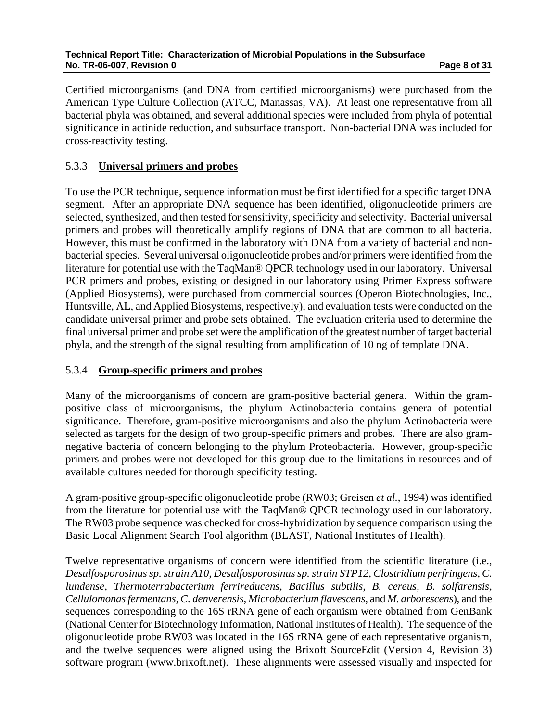Certified microorganisms (and DNA from certified microorganisms) were purchased from the American Type Culture Collection (ATCC, Manassas, VA). At least one representative from all bacterial phyla was obtained, and several additional species were included from phyla of potential significance in actinide reduction, and subsurface transport. Non-bacterial DNA was included for cross-reactivity testing.

## 5.3.3 **Universal primers and probes**

To use the PCR technique, sequence information must be first identified for a specific target DNA segment. After an appropriate DNA sequence has been identified, oligonucleotide primers are selected, synthesized, and then tested for sensitivity, specificity and selectivity. Bacterial universal primers and probes will theoretically amplify regions of DNA that are common to all bacteria. However, this must be confirmed in the laboratory with DNA from a variety of bacterial and nonbacterial species. Several universal oligonucleotide probes and/or primers were identified from the literature for potential use with the TaqMan® QPCR technology used in our laboratory. Universal PCR primers and probes, existing or designed in our laboratory using Primer Express software (Applied Biosystems), were purchased from commercial sources (Operon Biotechnologies, Inc., Huntsville, AL, and Applied Biosystems, respectively), and evaluation tests were conducted on the candidate universal primer and probe sets obtained. The evaluation criteria used to determine the final universal primer and probe set were the amplification of the greatest number of target bacterial phyla, and the strength of the signal resulting from amplification of 10 ng of template DNA.

### 5.3.4 **Group-specific primers and probes**

Many of the microorganisms of concern are gram-positive bacterial genera. Within the grampositive class of microorganisms, the phylum Actinobacteria contains genera of potential significance. Therefore, gram-positive microorganisms and also the phylum Actinobacteria were selected as targets for the design of two group-specific primers and probes. There are also gramnegative bacteria of concern belonging to the phylum Proteobacteria. However, group-specific primers and probes were not developed for this group due to the limitations in resources and of available cultures needed for thorough specificity testing.

A gram-positive group-specific oligonucleotide probe (RW03; Greisen *et al.*, 1994) was identified from the literature for potential use with the TaqMan® QPCR technology used in our laboratory. The RW03 probe sequence was checked for cross-hybridization by sequence comparison using the Basic Local Alignment Search Tool algorithm (BLAST, National Institutes of Health).

Twelve representative organisms of concern were identified from the scientific literature (i.e., *Desulfosporosinus sp. strain A10, Desulfosporosinus sp. strain STP12, Clostridium perfringens, C. lundense, Thermoterrabacterium ferrireducens, Bacillus subtilis, B. cereus, B. solfarensis, Cellulomonas fermentans, C. denverensis, Microbacterium flavescens,* and *M. arborescens*), and the sequences corresponding to the 16S rRNA gene of each organism were obtained from GenBank (National Center for Biotechnology Information, National Institutes of Health). The sequence of the oligonucleotide probe RW03 was located in the 16S rRNA gene of each representative organism, and the twelve sequences were aligned using the Brixoft SourceEdit (Version 4, Revision 3) software program (www.brixoft.net). These alignments were assessed visually and inspected for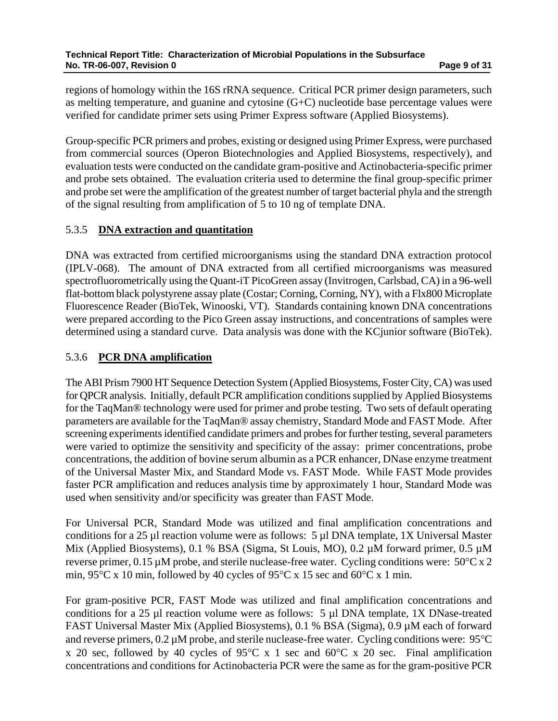regions of homology within the 16S rRNA sequence. Critical PCR primer design parameters, such as melting temperature, and guanine and cytosine (G+C) nucleotide base percentage values were verified for candidate primer sets using Primer Express software (Applied Biosystems).

Group-specific PCR primers and probes, existing or designed using Primer Express, were purchased from commercial sources (Operon Biotechnologies and Applied Biosystems, respectively), and evaluation tests were conducted on the candidate gram-positive and Actinobacteria-specific primer and probe sets obtained. The evaluation criteria used to determine the final group-specific primer and probe set were the amplification of the greatest number of target bacterial phyla and the strength of the signal resulting from amplification of 5 to 10 ng of template DNA.

# 5.3.5 **DNA extraction and quantitation**

DNA was extracted from certified microorganisms using the standard DNA extraction protocol (IPLV-068). The amount of DNA extracted from all certified microorganisms was measured spectrofluorometrically using the Quant-iT PicoGreen assay (Invitrogen, Carlsbad, CA) in a 96-well flat-bottom black polystyrene assay plate (Costar; Corning, Corning, NY), with a Flx800 Microplate Fluorescence Reader (BioTek, Winooski, VT). Standards containing known DNA concentrations were prepared according to the Pico Green assay instructions, and concentrations of samples were determined using a standard curve. Data analysis was done with the KCjunior software (BioTek).

# 5.3.6 **PCR DNA amplification**

The ABI Prism 7900 HT Sequence Detection System (Applied Biosystems, Foster City, CA) was used for QPCR analysis. Initially, default PCR amplification conditions supplied by Applied Biosystems for the TaqMan® technology were used for primer and probe testing. Two sets of default operating parameters are available for the TaqMan® assay chemistry, Standard Mode and FAST Mode. After screening experiments identified candidate primers and probes for further testing, several parameters were varied to optimize the sensitivity and specificity of the assay: primer concentrations, probe concentrations, the addition of bovine serum albumin as a PCR enhancer, DNase enzyme treatment of the Universal Master Mix, and Standard Mode vs. FAST Mode. While FAST Mode provides faster PCR amplification and reduces analysis time by approximately 1 hour, Standard Mode was used when sensitivity and/or specificity was greater than FAST Mode.

For Universal PCR, Standard Mode was utilized and final amplification concentrations and conditions for a 25 µl reaction volume were as follows: 5 µl DNA template, 1X Universal Master Mix (Applied Biosystems), 0.1 % BSA (Sigma, St Louis, MO), 0.2 µM forward primer, 0.5 µM reverse primer,  $0.15 \mu M$  probe, and sterile nuclease-free water. Cycling conditions were:  $50^{\circ}$ C x 2 min,  $95^{\circ}$ C x 10 min, followed by 40 cycles of  $95^{\circ}$ C x 15 sec and  $60^{\circ}$ C x 1 min.

For gram-positive PCR, FAST Mode was utilized and final amplification concentrations and conditions for a 25 µl reaction volume were as follows: 5 µl DNA template, 1X DNase-treated FAST Universal Master Mix (Applied Biosystems), 0.1 % BSA (Sigma), 0.9 µM each of forward and reverse primers, 0.2 µM probe, and sterile nuclease-free water. Cycling conditions were: 95°C x 20 sec, followed by 40 cycles of 95 $\degree$ C x 1 sec and 60 $\degree$ C x 20 sec. Final amplification concentrations and conditions for Actinobacteria PCR were the same as for the gram-positive PCR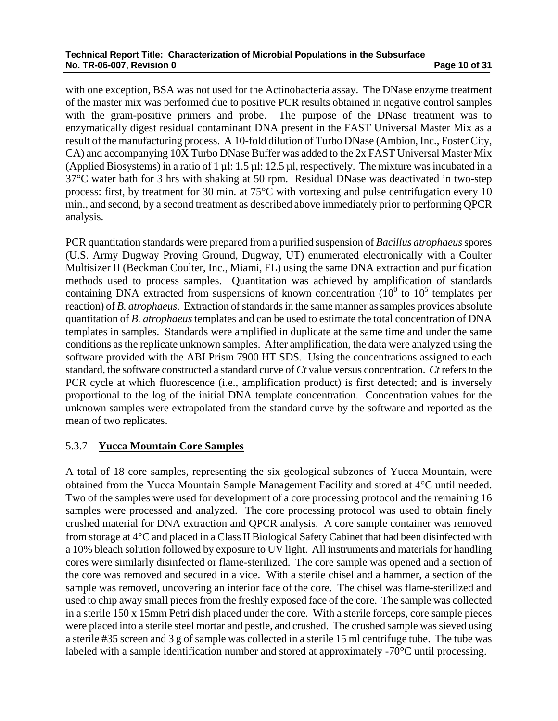with one exception, BSA was not used for the Actinobacteria assay. The DNase enzyme treatment of the master mix was performed due to positive PCR results obtained in negative control samples with the gram-positive primers and probe. The purpose of the DNase treatment was to enzymatically digest residual contaminant DNA present in the FAST Universal Master Mix as a result of the manufacturing process. A 10-fold dilution of Turbo DNase (Ambion, Inc., Foster City, CA) and accompanying 10X Turbo DNase Buffer was added to the 2x FAST Universal Master Mix (Applied Biosystems) in a ratio of 1 µl:  $1.5 \mu$ l:  $12.5 \mu$ l, respectively. The mixture was incubated in a 37°C water bath for 3 hrs with shaking at 50 rpm. Residual DNase was deactivated in two-step process: first, by treatment for 30 min. at 75°C with vortexing and pulse centrifugation every 10 min., and second, by a second treatment as described above immediately prior to performing QPCR analysis.

PCR quantitation standards were prepared from a purified suspension of *Bacillus atrophaeus* spores (U.S. Army Dugway Proving Ground, Dugway, UT) enumerated electronically with a Coulter Multisizer II (Beckman Coulter, Inc., Miami, FL) using the same DNA extraction and purification methods used to process samples. Quantitation was achieved by amplification of standards containing DNA extracted from suspensions of known concentration  $(10^0$  to  $10^5$  templates per reaction) of *B. atrophaeus*. Extraction of standards in the same manner as samples provides absolute quantitation of *B. atrophaeus* templates and can be used to estimate the total concentration of DNA templates in samples. Standards were amplified in duplicate at the same time and under the same conditions as the replicate unknown samples. After amplification, the data were analyzed using the software provided with the ABI Prism 7900 HT SDS. Using the concentrations assigned to each standard, the software constructed a standard curve of *Ct* value versus concentration. *Ct* refers to the PCR cycle at which fluorescence (i.e., amplification product) is first detected; and is inversely proportional to the log of the initial DNA template concentration. Concentration values for the unknown samples were extrapolated from the standard curve by the software and reported as the mean of two replicates.

# 5.3.7 **Yucca Mountain Core Samples**

A total of 18 core samples, representing the six geological subzones of Yucca Mountain, were obtained from the Yucca Mountain Sample Management Facility and stored at 4°C until needed. Two of the samples were used for development of a core processing protocol and the remaining 16 samples were processed and analyzed. The core processing protocol was used to obtain finely crushed material for DNA extraction and QPCR analysis. A core sample container was removed from storage at 4°C and placed in a Class II Biological Safety Cabinet that had been disinfected with a 10% bleach solution followed by exposure to UV light. All instruments and materials for handling cores were similarly disinfected or flame-sterilized. The core sample was opened and a section of the core was removed and secured in a vice. With a sterile chisel and a hammer, a section of the sample was removed, uncovering an interior face of the core. The chisel was flame-sterilized and used to chip away small pieces from the freshly exposed face of the core. The sample was collected in a sterile 150 x 15mm Petri dish placed under the core. With a sterile forceps, core sample pieces were placed into a sterile steel mortar and pestle, and crushed. The crushed sample was sieved using a sterile #35 screen and 3 g of sample was collected in a sterile 15 ml centrifuge tube. The tube was labeled with a sample identification number and stored at approximately -70°C until processing.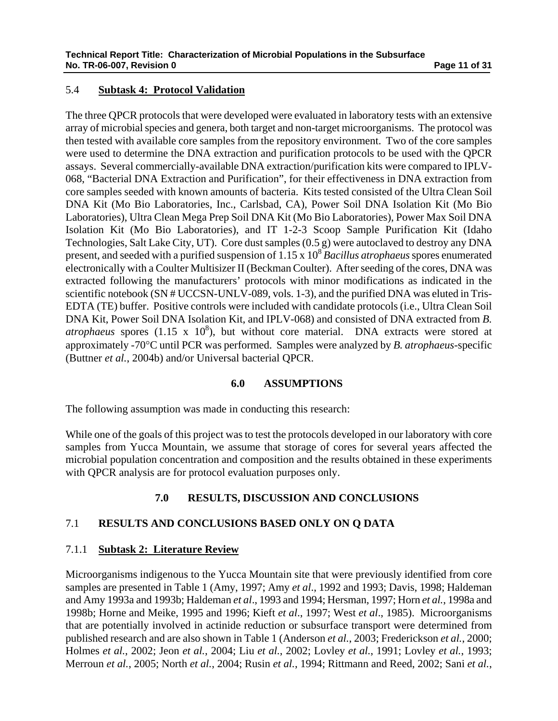# 5.4 **Subtask 4: Protocol Validation**

The three QPCR protocols that were developed were evaluated in laboratory tests with an extensive array of microbial species and genera, both target and non-target microorganisms. The protocol was then tested with available core samples from the repository environment. Two of the core samples were used to determine the DNA extraction and purification protocols to be used with the QPCR assays. Several commercially-available DNA extraction/purification kits were compared to IPLV-068, "Bacterial DNA Extraction and Purification", for their effectiveness in DNA extraction from core samples seeded with known amounts of bacteria. Kits tested consisted of the Ultra Clean Soil DNA Kit (Mo Bio Laboratories, Inc., Carlsbad, CA), Power Soil DNA Isolation Kit (Mo Bio Laboratories), Ultra Clean Mega Prep Soil DNA Kit (Mo Bio Laboratories), Power Max Soil DNA Isolation Kit (Mo Bio Laboratories), and IT 1-2-3 Scoop Sample Purification Kit (Idaho Technologies, Salt Lake City, UT). Core dust samples (0.5 g) were autoclaved to destroy any DNA present, and seeded with a purified suspension of 1.15 x 108 *Bacillus atrophaeus* spores enumerated electronically with a Coulter Multisizer II (Beckman Coulter). After seeding of the cores, DNA was extracted following the manufacturers' protocols with minor modifications as indicated in the scientific notebook (SN # UCCSN-UNLV-089, vols. 1-3), and the purified DNA was eluted in Tris-EDTA (TE) buffer. Positive controls were included with candidate protocols (i.e., Ultra Clean Soil DNA Kit, Power Soil DNA Isolation Kit, and IPLV-068) and consisted of DNA extracted from *B. , but without core material. DNA extracts were stored at* approximately -70°C until PCR was performed. Samples were analyzed by *B. atrophaeus*-specific (Buttner *et al.*, 2004b) and/or Universal bacterial QPCR.

### **6.0 ASSUMPTIONS**

The following assumption was made in conducting this research:

While one of the goals of this project was to test the protocols developed in our laboratory with core samples from Yucca Mountain, we assume that storage of cores for several years affected the microbial population concentration and composition and the results obtained in these experiments with QPCR analysis are for protocol evaluation purposes only.

# **7.0 RESULTS, DISCUSSION AND CONCLUSIONS**

### 7.1 **RESULTS AND CONCLUSIONS BASED ONLY ON Q DATA**

### 7.1.1 **Subtask 2: Literature Review**

Microorganisms indigenous to the Yucca Mountain site that were previously identified from core samples are presented in Table 1 (Amy, 1997; Amy *et al*., 1992 and 1993; Davis, 1998; Haldeman and Amy 1993a and 1993b; Haldeman *et al*., 1993 and 1994; Hersman, 1997; Horn *et al.*, 1998a and 1998b; Horne and Meike, 1995 and 1996; Kieft *et al*., 1997; West *et al*., 1985). Microorganisms that are potentially involved in actinide reduction or subsurface transport were determined from published research and are also shown in Table 1 (Anderson *et al.*, 2003; Frederickson *et al.*, 2000; Holmes *et al.*, 2002; Jeon *et al.*, 2004; Liu *et al.*, 2002; Lovley *et al.*, 1991; Lovley *et al.*, 1993; Merroun *et al.*, 2005; North *et al.*, 2004; Rusin *et al.*, 1994; Rittmann and Reed, 2002; Sani *et al.*,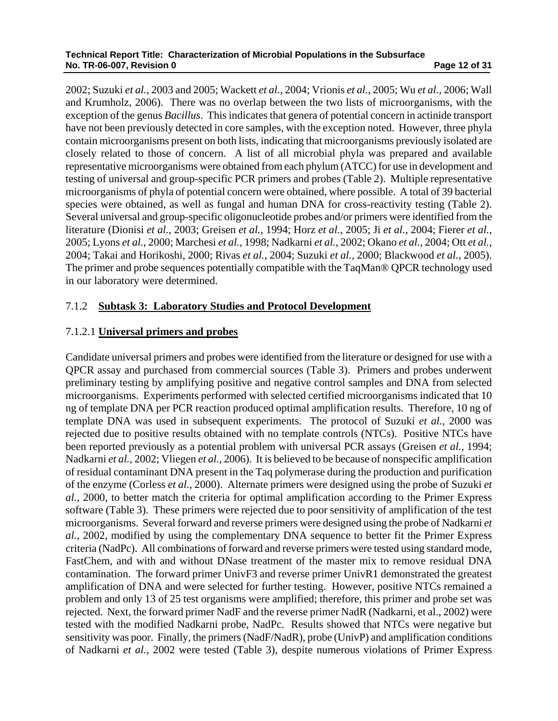2002; Suzuki *et al.*, 2003 and 2005; Wackett *et al.*, 2004; Vrionis *et al.*, 2005; Wu *et al.*, 2006; Wall and Krumholz, 2006). There was no overlap between the two lists of microorganisms, with the exception of the genus *Bacillus*. This indicates that genera of potential concern in actinide transport have not been previously detected in core samples, with the exception noted. However, three phyla contain microorganisms present on both lists, indicating that microorganisms previously isolated are closely related to those of concern. A list of all microbial phyla was prepared and available representative microorganisms were obtained from each phylum (ATCC) for use in development and testing of universal and group-specific PCR primers and probes (Table 2). Multiple representative microorganisms of phyla of potential concern were obtained, where possible. A total of 39 bacterial species were obtained, as well as fungal and human DNA for cross-reactivity testing (Table 2). Several universal and group-specific oligonucleotide probes and/or primers were identified from the literature (Dionisi *et al.*, 2003; Greisen *et al.*, 1994; Horz *et al.*, 2005; Ji *et al.*, 2004; Fierer *et al.*, 2005; Lyons *et al.*, 2000; Marchesi *et al.*, 1998; Nadkarni *et al.*, 2002; Okano *et al.*, 2004; Ott *et al.*, 2004; Takai and Horikoshi, 2000; Rivas *et al.*, 2004; Suzuki *et al.*, 2000; Blackwood *et al.*, 2005). The primer and probe sequences potentially compatible with the TaqMan® QPCR technology used in our laboratory were determined.

# 7.1.2 **Subtask 3: Laboratory Studies and Protocol Development**

# 7.1.2.1 **Universal primers and probes**

Candidate universal primers and probes were identified from the literature or designed for use with a QPCR assay and purchased from commercial sources (Table 3). Primers and probes underwent preliminary testing by amplifying positive and negative control samples and DNA from selected microorganisms. Experiments performed with selected certified microorganisms indicated that 10 ng of template DNA per PCR reaction produced optimal amplification results. Therefore, 10 ng of template DNA was used in subsequent experiments. The protocol of Suzuki *et al.*, 2000 was rejected due to positive results obtained with no template controls (NTCs). Positive NTCs have been reported previously as a potential problem with universal PCR assays (Greisen *et al.*, 1994; Nadkarni *et al.*, 2002; Vliegen *et al.*, 2006). It is believed to be because of nonspecific amplification of residual contaminant DNA present in the Taq polymerase during the production and purification of the enzyme (Corless *et al.*, 2000). Alternate primers were designed using the probe of Suzuki *et al.*, 2000, to better match the criteria for optimal amplification according to the Primer Express software (Table 3). These primers were rejected due to poor sensitivity of amplification of the test microorganisms. Several forward and reverse primers were designed using the probe of Nadkarni *et al.*, 2002, modified by using the complementary DNA sequence to better fit the Primer Express criteria (NadPc). All combinations of forward and reverse primers were tested using standard mode, FastChem, and with and without DNase treatment of the master mix to remove residual DNA contamination. The forward primer UnivF3 and reverse primer UnivR1 demonstrated the greatest amplification of DNA and were selected for further testing. However, positive NTCs remained a problem and only 13 of 25 test organisms were amplified; therefore, this primer and probe set was rejected. Next, the forward primer NadF and the reverse primer NadR (Nadkarni, et al., 2002) were tested with the modified Nadkarni probe, NadPc. Results showed that NTCs were negative but sensitivity was poor. Finally, the primers (NadF/NadR), probe (UnivP) and amplification conditions of Nadkarni *et al.*, 2002 were tested (Table 3), despite numerous violations of Primer Express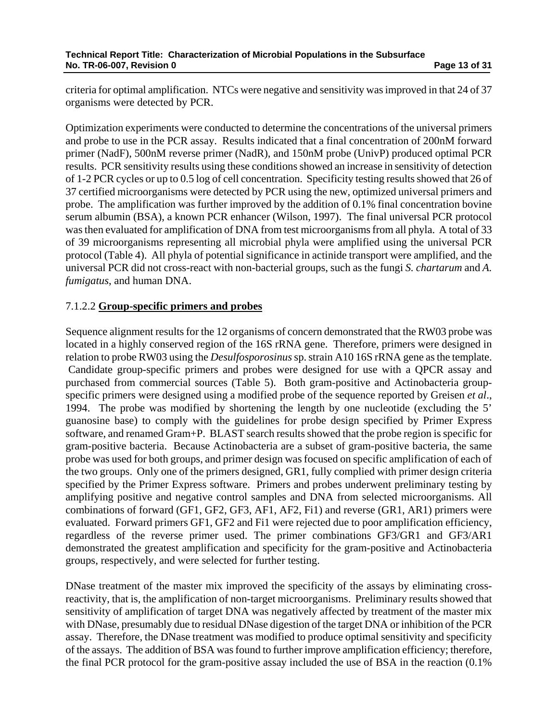criteria for optimal amplification. NTCs were negative and sensitivity was improved in that 24 of 37 organisms were detected by PCR.

Optimization experiments were conducted to determine the concentrations of the universal primers and probe to use in the PCR assay. Results indicated that a final concentration of 200nM forward primer (NadF), 500nM reverse primer (NadR), and 150nM probe (UnivP) produced optimal PCR results. PCR sensitivity results using these conditions showed an increase in sensitivity of detection of 1-2 PCR cycles or up to 0.5 log of cell concentration. Specificity testing results showed that 26 of 37 certified microorganisms were detected by PCR using the new, optimized universal primers and probe. The amplification was further improved by the addition of 0.1% final concentration bovine serum albumin (BSA), a known PCR enhancer (Wilson, 1997). The final universal PCR protocol was then evaluated for amplification of DNA from test microorganisms from all phyla. A total of 33 of 39 microorganisms representing all microbial phyla were amplified using the universal PCR protocol (Table 4). All phyla of potential significance in actinide transport were amplified, and the universal PCR did not cross-react with non-bacterial groups, such as the fungi *S. chartarum* and *A. fumigatus*, and human DNA.

# 7.1.2.2 **Group-specific primers and probes**

Sequence alignment results for the 12 organisms of concern demonstrated that the RW03 probe was located in a highly conserved region of the 16S rRNA gene. Therefore, primers were designed in relation to probe RW03 using the *Desulfosporosinus* sp. strain A10 16S rRNA gene as the template. Candidate group-specific primers and probes were designed for use with a QPCR assay and purchased from commercial sources (Table 5). Both gram-positive and Actinobacteria groupspecific primers were designed using a modified probe of the sequence reported by Greisen *et al*., 1994. The probe was modified by shortening the length by one nucleotide (excluding the 5' guanosine base) to comply with the guidelines for probe design specified by Primer Express software, and renamed Gram+P. BLAST search results showed that the probe region is specific for gram-positive bacteria. Because Actinobacteria are a subset of gram-positive bacteria, the same probe was used for both groups, and primer design was focused on specific amplification of each of the two groups. Only one of the primers designed, GR1, fully complied with primer design criteria specified by the Primer Express software. Primers and probes underwent preliminary testing by amplifying positive and negative control samples and DNA from selected microorganisms. All combinations of forward (GF1, GF2, GF3, AF1, AF2, Fi1) and reverse (GR1, AR1) primers were evaluated. Forward primers GF1, GF2 and Fi1 were rejected due to poor amplification efficiency, regardless of the reverse primer used. The primer combinations GF3/GR1 and GF3/AR1 demonstrated the greatest amplification and specificity for the gram-positive and Actinobacteria groups, respectively, and were selected for further testing.

DNase treatment of the master mix improved the specificity of the assays by eliminating crossreactivity, that is, the amplification of non-target microorganisms. Preliminary results showed that sensitivity of amplification of target DNA was negatively affected by treatment of the master mix with DNase, presumably due to residual DNase digestion of the target DNA or inhibition of the PCR assay. Therefore, the DNase treatment was modified to produce optimal sensitivity and specificity of the assays. The addition of BSA was found to further improve amplification efficiency; therefore, the final PCR protocol for the gram-positive assay included the use of BSA in the reaction (0.1%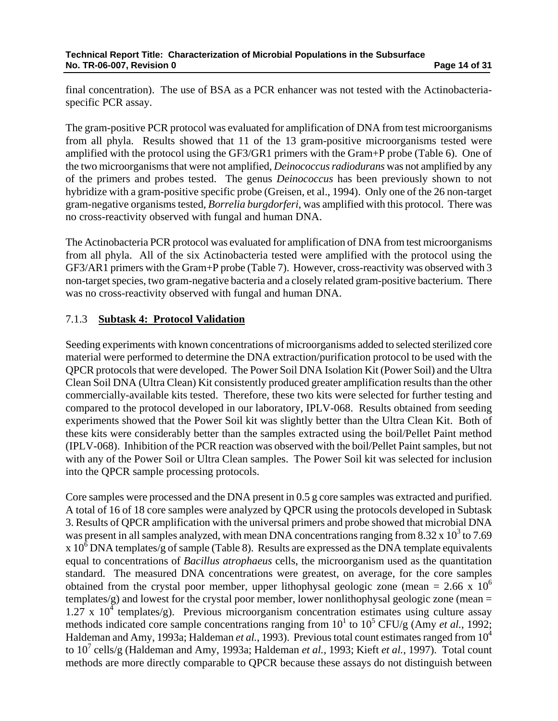final concentration). The use of BSA as a PCR enhancer was not tested with the Actinobacteriaspecific PCR assay.

The gram-positive PCR protocol was evaluated for amplification of DNA from test microorganisms from all phyla. Results showed that 11 of the 13 gram-positive microorganisms tested were amplified with the protocol using the GF3/GR1 primers with the Gram+P probe (Table 6). One of the two microorganisms that were not amplified, *Deinococcus radiodurans* was not amplified by any of the primers and probes tested. The genus *Deinococcus* has been previously shown to not hybridize with a gram-positive specific probe (Greisen, et al., 1994). Only one of the 26 non-target gram-negative organisms tested, *Borrelia burgdorferi*, was amplified with this protocol. There was no cross-reactivity observed with fungal and human DNA.

The Actinobacteria PCR protocol was evaluated for amplification of DNA from test microorganisms from all phyla. All of the six Actinobacteria tested were amplified with the protocol using the GF3/AR1 primers with the Gram+P probe (Table 7). However, cross-reactivity was observed with 3 non-target species, two gram-negative bacteria and a closely related gram-positive bacterium. There was no cross-reactivity observed with fungal and human DNA.

# 7.1.3 **Subtask 4: Protocol Validation**

Seeding experiments with known concentrations of microorganisms added to selected sterilized core material were performed to determine the DNA extraction/purification protocol to be used with the QPCR protocols that were developed. The Power Soil DNA Isolation Kit (Power Soil) and the Ultra Clean Soil DNA (Ultra Clean) Kit consistently produced greater amplification results than the other commercially-available kits tested. Therefore, these two kits were selected for further testing and compared to the protocol developed in our laboratory, IPLV-068. Results obtained from seeding experiments showed that the Power Soil kit was slightly better than the Ultra Clean Kit. Both of these kits were considerably better than the samples extracted using the boil/Pellet Paint method (IPLV-068). Inhibition of the PCR reaction was observed with the boil/Pellet Paint samples, but not with any of the Power Soil or Ultra Clean samples. The Power Soil kit was selected for inclusion into the QPCR sample processing protocols.

Core samples were processed and the DNA present in 0.5 g core samples was extracted and purified. A total of 16 of 18 core samples were analyzed by QPCR using the protocols developed in Subtask 3. Results of QPCR amplification with the universal primers and probe showed that microbial DNA was present in all samples analyzed, with mean DNA concentrations ranging from 8.32 x  $10^3$  to 7.69 x  $10^6$  DNA templates/g of sample (Table 8). Results are expressed as the DNA template equivalents equal to concentrations of *Bacillus atrophaeus* cells, the microorganism used as the quantitation standard. The measured DNA concentrations were greatest, on average, for the core samples obtained from the crystal poor member, upper lithophysal geologic zone (mean = 2.66 x  $10^6$ ) templates/g) and lowest for the crystal poor member, lower nonlithophysal geologic zone (mean =  $1.27 \times 10^{4}$  templates/g). Previous microorganism concentration estimates using culture assay methods indicated core sample concentrations ranging from  $10^1$  to  $10^5$  CFU/g (Amy *et al.*, 1992; Haldeman and Amy, 1993a; Haldeman *et al.*, 1993). Previous total count estimates ranged from 10<sup>4</sup> to 10<sup>7</sup> cells/g (Haldeman and Amy, 1993a; Haldeman *et al.*, 1993; Kieft *et al.*, 1997). Total count methods are more directly comparable to QPCR because these assays do not distinguish between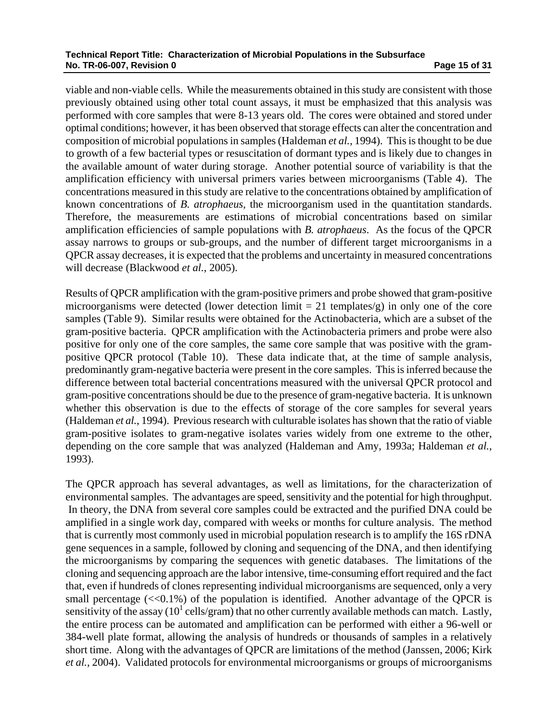#### **Technical Report Title: Characterization of Microbial Populations in the Subsurface No. TR-06-007, Revision 0 Page 15 of 31 <b>Page 15 of 31 Page 15 of 31**

viable and non-viable cells. While the measurements obtained in this study are consistent with those previously obtained using other total count assays, it must be emphasized that this analysis was performed with core samples that were 8-13 years old. The cores were obtained and stored under optimal conditions; however, it has been observed that storage effects can alter the concentration and composition of microbial populations in samples (Haldeman *et al.*, 1994). This is thought to be due to growth of a few bacterial types or resuscitation of dormant types and is likely due to changes in the available amount of water during storage. Another potential source of variability is that the amplification efficiency with universal primers varies between microorganisms (Table 4). The concentrations measured in this study are relative to the concentrations obtained by amplification of known concentrations of *B. atrophaeus*, the microorganism used in the quantitation standards. Therefore, the measurements are estimations of microbial concentrations based on similar amplification efficiencies of sample populations with *B. atrophaeus*. As the focus of the QPCR assay narrows to groups or sub-groups, and the number of different target microorganisms in a QPCR assay decreases, it is expected that the problems and uncertainty in measured concentrations will decrease (Blackwood *et al.*, 2005).

Results of QPCR amplification with the gram-positive primers and probe showed that gram-positive microorganisms were detected (lower detection limit  $= 21$  templates/g) in only one of the core samples (Table 9). Similar results were obtained for the Actinobacteria, which are a subset of the gram-positive bacteria. QPCR amplification with the Actinobacteria primers and probe were also positive for only one of the core samples, the same core sample that was positive with the grampositive QPCR protocol (Table 10). These data indicate that, at the time of sample analysis, predominantly gram-negative bacteria were present in the core samples. This is inferred because the difference between total bacterial concentrations measured with the universal QPCR protocol and gram-positive concentrations should be due to the presence of gram-negative bacteria. It is unknown whether this observation is due to the effects of storage of the core samples for several years (Haldeman *et al.*, 1994). Previous research with culturable isolates has shown that the ratio of viable gram-positive isolates to gram-negative isolates varies widely from one extreme to the other, depending on the core sample that was analyzed (Haldeman and Amy, 1993a; Haldeman *et al.*, 1993).

The QPCR approach has several advantages, as well as limitations, for the characterization of environmental samples. The advantages are speed, sensitivity and the potential for high throughput. In theory, the DNA from several core samples could be extracted and the purified DNA could be amplified in a single work day, compared with weeks or months for culture analysis. The method that is currently most commonly used in microbial population research is to amplify the 16S rDNA gene sequences in a sample, followed by cloning and sequencing of the DNA, and then identifying the microorganisms by comparing the sequences with genetic databases. The limitations of the cloning and sequencing approach are the labor intensive, time-consuming effort required and the fact that, even if hundreds of clones representing individual microorganisms are sequenced, only a very small percentage  $\ll 0.1\%$ ) of the population is identified. Another advantage of the QPCR is sensitivity of the assay ( $10^1$  cells/gram) that no other currently available methods can match. Lastly, the entire process can be automated and amplification can be performed with either a 96-well or 384-well plate format, allowing the analysis of hundreds or thousands of samples in a relatively short time. Along with the advantages of QPCR are limitations of the method (Janssen, 2006; Kirk *et al.*, 2004). Validated protocols for environmental microorganisms or groups of microorganisms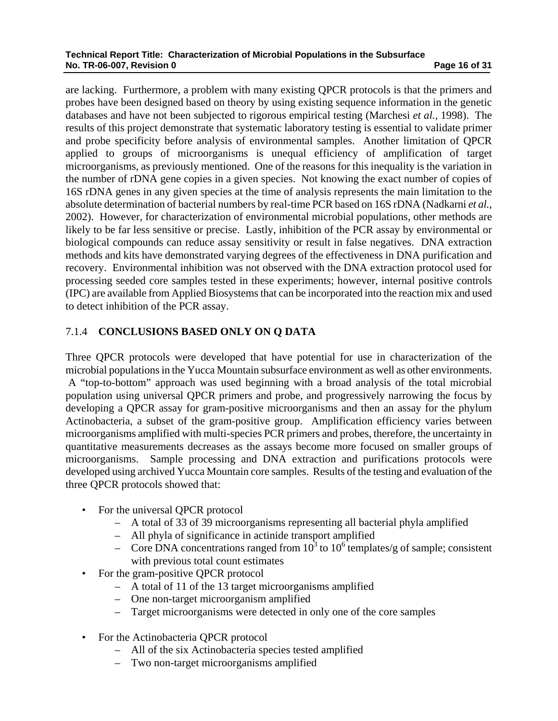are lacking. Furthermore, a problem with many existing QPCR protocols is that the primers and probes have been designed based on theory by using existing sequence information in the genetic databases and have not been subjected to rigorous empirical testing (Marchesi *et al.*, 1998). The results of this project demonstrate that systematic laboratory testing is essential to validate primer and probe specificity before analysis of environmental samples. Another limitation of QPCR applied to groups of microorganisms is unequal efficiency of amplification of target microorganisms, as previously mentioned. One of the reasons for this inequality is the variation in the number of rDNA gene copies in a given species. Not knowing the exact number of copies of 16S rDNA genes in any given species at the time of analysis represents the main limitation to the absolute determination of bacterial numbers by real-time PCR based on 16S rDNA (Nadkarni *et al.*, 2002). However, for characterization of environmental microbial populations, other methods are likely to be far less sensitive or precise. Lastly, inhibition of the PCR assay by environmental or biological compounds can reduce assay sensitivity or result in false negatives. DNA extraction methods and kits have demonstrated varying degrees of the effectiveness in DNA purification and recovery. Environmental inhibition was not observed with the DNA extraction protocol used for processing seeded core samples tested in these experiments; however, internal positive controls (IPC) are available from Applied Biosystems that can be incorporated into the reaction mix and used to detect inhibition of the PCR assay.

# 7.1.4 **CONCLUSIONS BASED ONLY ON Q DATA**

Three QPCR protocols were developed that have potential for use in characterization of the microbial populations in the Yucca Mountain subsurface environment as well as other environments. A "top-to-bottom" approach was used beginning with a broad analysis of the total microbial population using universal QPCR primers and probe, and progressively narrowing the focus by developing a QPCR assay for gram-positive microorganisms and then an assay for the phylum Actinobacteria, a subset of the gram-positive group. Amplification efficiency varies between microorganisms amplified with multi-species PCR primers and probes, therefore, the uncertainty in quantitative measurements decreases as the assays become more focused on smaller groups of microorganisms. Sample processing and DNA extraction and purifications protocols were developed using archived Yucca Mountain core samples. Results of the testing and evaluation of the three QPCR protocols showed that:

- For the universal QPCR protocol
	- A total of 33 of 39 microorganisms representing all bacterial phyla amplified
	- All phyla of significance in actinide transport amplified
	- Core DNA concentrations ranged from  $10^3$  to  $10^6$  templates/g of sample; consistent with previous total count estimates
- For the gram-positive QPCR protocol
	- A total of 11 of the 13 target microorganisms amplified
	- One non-target microorganism amplified
	- Target microorganisms were detected in only one of the core samples
- For the Actinobacteria QPCR protocol
	- All of the six Actinobacteria species tested amplified
	- Two non-target microorganisms amplified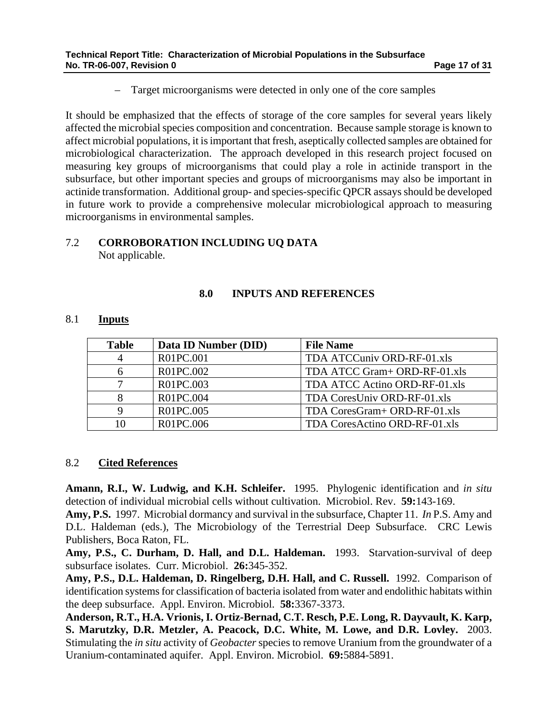– Target microorganisms were detected in only one of the core samples

It should be emphasized that the effects of storage of the core samples for several years likely affected the microbial species composition and concentration. Because sample storage is known to affect microbial populations, it is important that fresh, aseptically collected samples are obtained for microbiological characterization. The approach developed in this research project focused on measuring key groups of microorganisms that could play a role in actinide transport in the subsurface, but other important species and groups of microorganisms may also be important in actinide transformation. Additional group- and species-specific QPCR assays should be developed in future work to provide a comprehensive molecular microbiological approach to measuring microorganisms in environmental samples.

# 7.2 **CORROBORATION INCLUDING UQ DATA**

Not applicable.

# **8.0 INPUTS AND REFERENCES**

### 8.1 **Inputs**

| <b>Table</b> | Data ID Number (DID) | <b>File Name</b>              |
|--------------|----------------------|-------------------------------|
|              | R01PC.001            | TDA ATCCuniv ORD-RF-01.xls    |
|              | R01PC.002            | TDA ATCC Gram+ ORD-RF-01.xls  |
|              | R01PC.003            | TDA ATCC Actino ORD-RF-01.xls |
|              | R01PC.004            | TDA CoresUniv ORD-RF-01.xls   |
|              | R01PC.005            | TDA CoresGram+ ORD-RF-01.xls  |
| 10           | R01PC.006            | TDA CoresActino ORD-RF-01.xls |

### 8.2 **Cited References**

**Amann, R.I., W. Ludwig, and K.H. Schleifer.** 1995. Phylogenic identification and *in situ* detection of individual microbial cells without cultivation. Microbiol. Rev. **59:**143-169.

**Amy, P.S.** 1997. Microbial dormancy and survival in the subsurface, Chapter 11. *In* P.S. Amy and D.L. Haldeman (eds.), The Microbiology of the Terrestrial Deep Subsurface. CRC Lewis Publishers, Boca Raton, FL.

**Amy, P.S., C. Durham, D. Hall, and D.L. Haldeman.** 1993. Starvation-survival of deep subsurface isolates. Curr. Microbiol. **26:**345-352.

**Amy, P.S., D.L. Haldeman, D. Ringelberg, D.H. Hall, and C. Russell.** 1992. Comparison of identification systems for classification of bacteria isolated from water and endolithic habitats within the deep subsurface. Appl. Environ. Microbiol. **58:**3367-3373.

**Anderson, R.T., H.A. Vrionis, I. Ortiz-Bernad, C.T. Resch, P.E. Long, R. Dayvault, K. Karp, S. Marutzky, D.R. Metzler, A. Peacock, D.C. White, M. Lowe, and D.R. Lovley.** 2003. Stimulating the *in situ* activity of *Geobacter* species to remove Uranium from the groundwater of a Uranium-contaminated aquifer. Appl. Environ. Microbiol. **69:**5884-5891.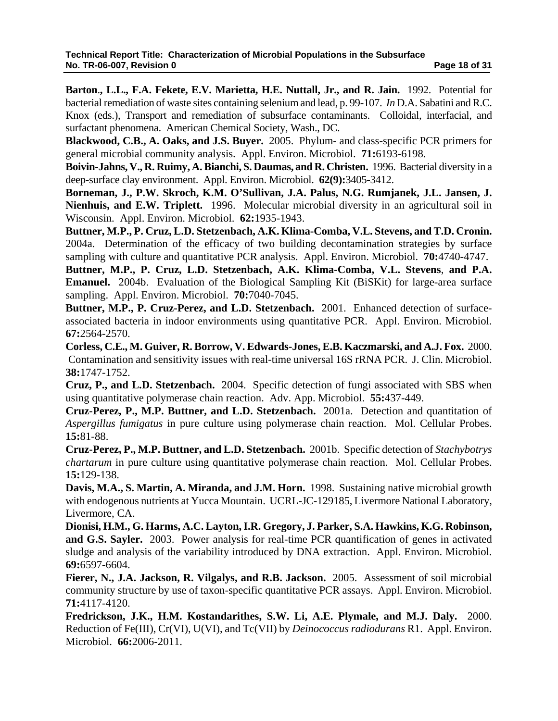**Barton**.**, L.L., F.A. Fekete, E.V. Marietta, H.E. Nuttall, Jr., and R. Jain.** 1992. Potential for bacterial remediation of waste sites containing selenium and lead, p. 99-107. *In* D.A. Sabatini and R.C. Knox (eds.), Transport and remediation of subsurface contaminants. Colloidal, interfacial, and surfactant phenomena. American Chemical Society, Wash., DC.

**Blackwood, C.B., A. Oaks, and J.S. Buyer.** 2005. Phylum- and class-specific PCR primers for general microbial community analysis. Appl. Environ. Microbiol. **71:**6193-6198.

**Boivin-Jahns, V., R. Ruimy, A. Bianchi, S. Daumas, and R. Christen.** 1996. Bacterial diversity in a deep-surface clay environment. Appl. Environ. Microbiol. **62(9):**3405-3412.

**Borneman, J., P.W. Skroch, K.M. O'Sullivan, J.A. Palus, N.G. Rumjanek, J.L. Jansen, J. Nienhuis, and E.W. Triplett.** 1996. Molecular microbial diversity in an agricultural soil in Wisconsin. Appl. Environ. Microbiol. **62:**1935-1943.

**Buttner, M.P., P. Cruz, L.D. Stetzenbach, A.K. Klima-Comba, V.L. Stevens, and T.D. Cronin.** 2004a. Determination of the efficacy of two building decontamination strategies by surface sampling with culture and quantitative PCR analysis. Appl. Environ. Microbiol. **70:**4740-4747.

**Buttner, M.P., P. Cruz, L.D. Stetzenbach, A.K. Klima-Comba, V.L. Stevens**, **and P.A. Emanuel.** 2004b. Evaluation of the Biological Sampling Kit (BiSKit) for large-area surface sampling. Appl. Environ. Microbiol. **70:**7040-7045.

**Buttner, M.P., P. Cruz-Perez, and L.D. Stetzenbach.** 2001. Enhanced detection of surfaceassociated bacteria in indoor environments using quantitative PCR. Appl. Environ. Microbiol. **67:**2564-2570.

**Corless, C.E., M. Guiver, R. Borrow, V. Edwards-Jones, E.B. Kaczmarski, and A.J. Fox.** 2000. Contamination and sensitivity issues with real-time universal 16S rRNA PCR. J. Clin. Microbiol. **38:**1747-1752.

**Cruz, P., and L.D. Stetzenbach.** 2004. Specific detection of fungi associated with SBS when using quantitative polymerase chain reaction. Adv. App. Microbiol. **55:**437-449.

**Cruz-Perez, P., M.P. Buttner, and L.D. Stetzenbach.** 2001a. Detection and quantitation of *Aspergillus fumigatus* in pure culture using polymerase chain reaction. Mol. Cellular Probes. **15:**81-88.

**Cruz-Perez, P., M.P. Buttner, and L.D. Stetzenbach.** 2001b. Specific detection of *Stachybotrys chartarum* in pure culture using quantitative polymerase chain reaction. Mol. Cellular Probes. **15:**129-138.

**Davis, M.A., S. Martin, A. Miranda, and J.M. Horn.** 1998. Sustaining native microbial growth with endogenous nutrients at Yucca Mountain. UCRL-JC-129185, Livermore National Laboratory, Livermore, CA.

**Dionisi, H.M., G. Harms, A.C. Layton, I.R. Gregory, J. Parker, S.A. Hawkins, K.G. Robinson, and G.S. Sayler.** 2003. Power analysis for real-time PCR quantification of genes in activated sludge and analysis of the variability introduced by DNA extraction. Appl. Environ. Microbiol. **69:**6597-6604.

**Fierer, N., J.A. Jackson, R. Vilgalys, and R.B. Jackson.** 2005. Assessment of soil microbial community structure by use of taxon-specific quantitative PCR assays. Appl. Environ. Microbiol. **71:**4117-4120.

**Fredrickson, J.K., H.M. Kostandarithes, S.W. Li, A.E. Plymale, and M.J. Daly.** 2000. Reduction of Fe(III), Cr(VI), U(VI), and Tc(VII) by *Deinococcus radiodurans* R1. Appl. Environ. Microbiol. **66:**2006-2011.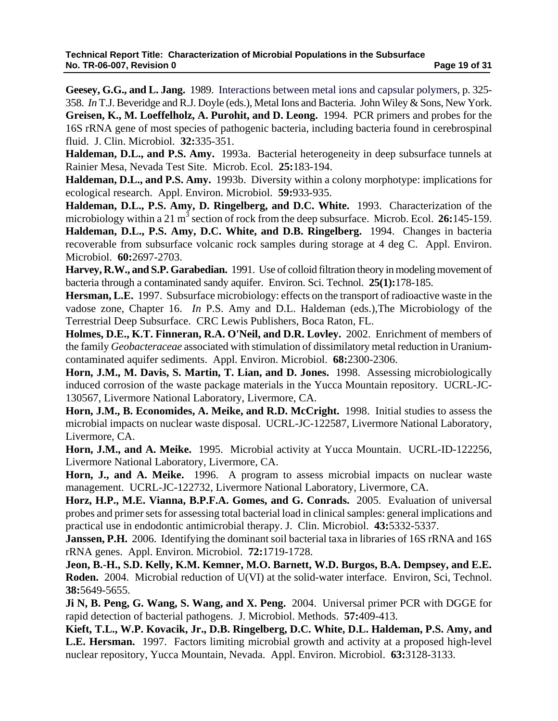**Geesey, G.G., and L. Jang.** 1989. Interactions between metal ions and capsular polymers, p. 325- 358. *In* T.J. Beveridge and R.J. Doyle (eds.), Metal Ions and Bacteria. John Wiley & Sons, New York. **Greisen, K., M. Loeffelholz, A. Purohit, and D. Leong.** 1994. PCR primers and probes for the 16S rRNA gene of most species of pathogenic bacteria, including bacteria found in cerebrospinal fluid. J. Clin. Microbiol. **32:**335-351.

**Haldeman, D.L., and P.S. Amy.** 1993a. Bacterial heterogeneity in deep subsurface tunnels at Rainier Mesa, Nevada Test Site. Microb. Ecol. **25:**183-194.

**Haldeman, D.L., and P.S. Amy.** 1993b. Diversity within a colony morphotype: implications for ecological research. Appl. Environ. Microbiol. **59:**933-935.

**Haldeman, D.L., P.S. Amy, D. Ringelberg, and D.C. White.** 1993. Characterization of the microbiology within a 21 m<sup>3</sup> section of rock from the deep subsurface. Microb. Ecol. 26:145-159. **Haldeman, D.L., P.S. Amy, D.C. White, and D.B. Ringelberg.** 1994.Changes in bacteria recoverable from subsurface volcanic rock samples during storage at 4 deg C. Appl. Environ. Microbiol. **60:**2697-2703.

**Harvey, R.W., and S.P. Garabedian.** 1991. Use of colloid filtration theory in modeling movement of bacteria through a contaminated sandy aquifer. Environ. Sci. Technol. **25(1):**178-185.

**Hersman, L.E.** 1997. Subsurface microbiology: effects on the transport of radioactive waste in the vadose zone, Chapter 16. *In* P.S. Amy and D.L. Haldeman (eds.),The Microbiology of the Terrestrial Deep Subsurface. CRC Lewis Publishers, Boca Raton, FL.

**Holmes, D.E., K.T. Finneran, R.A. O'Neil, and D.R. Lovley.** 2002. Enrichment of members of the family *Geobacteraceae* associated with stimulation of dissimilatory metal reduction in Uraniumcontaminated aquifer sediments. Appl. Environ. Microbiol. **68:**2300-2306.

**Horn, J.M., M. Davis, S. Martin, T. Lian, and D. Jones.** 1998. Assessing microbiologically induced corrosion of the waste package materials in the Yucca Mountain repository. UCRL-JC-130567, Livermore National Laboratory, Livermore, CA.

**Horn, J.M., B. Economides, A. Meike, and R.D. McCright.** 1998. Initial studies to assess the microbial impacts on nuclear waste disposal. UCRL-JC-122587, Livermore National Laboratory, Livermore, CA.

**Horn, J.M., and A. Meike.** 1995. Microbial activity at Yucca Mountain. UCRL-ID-122256, Livermore National Laboratory, Livermore, CA.

**Horn, J., and A. Meike.** 1996. A program to assess microbial impacts on nuclear waste management. UCRL-JC-122732, Livermore National Laboratory, Livermore, CA.

**Horz, H.P., M.E. Vianna, B.P.F.A. Gomes, and G. Conrads.** 2005. Evaluation of universal probes and primer sets for assessing total bacterial load in clinical samples: general implications and practical use in endodontic antimicrobial therapy. J. Clin. Microbiol. **43:**5332-5337.

**Janssen, P.H.** 2006. Identifying the dominant soil bacterial taxa in libraries of 16S rRNA and 16S rRNA genes. Appl. Environ. Microbiol. **72:**1719-1728.

**Jeon, B.-H., S.D. Kelly, K.M. Kemner, M.O. Barnett, W.D. Burgos, B.A. Dempsey, and E.E. Roden.** 2004. Microbial reduction of U(VI) at the solid-water interface. Environ, Sci, Technol. **38:**5649-5655.

**Ji N, B. Peng, G. Wang, S. Wang, and X. Peng.** 2004. Universal primer PCR with DGGE for rapid detection of bacterial pathogens. J. Microbiol. Methods. **57:**409-413.

**Kieft, T.L., W.P. Kovacik, Jr., D.B. Ringelberg, D.C. White, D.L. Haldeman, P.S. Amy, and L.E. Hersman.** 1997. Factors limiting microbial growth and activity at a proposed high-level nuclear repository, Yucca Mountain, Nevada.Appl. Environ. Microbiol. **63:**3128-3133.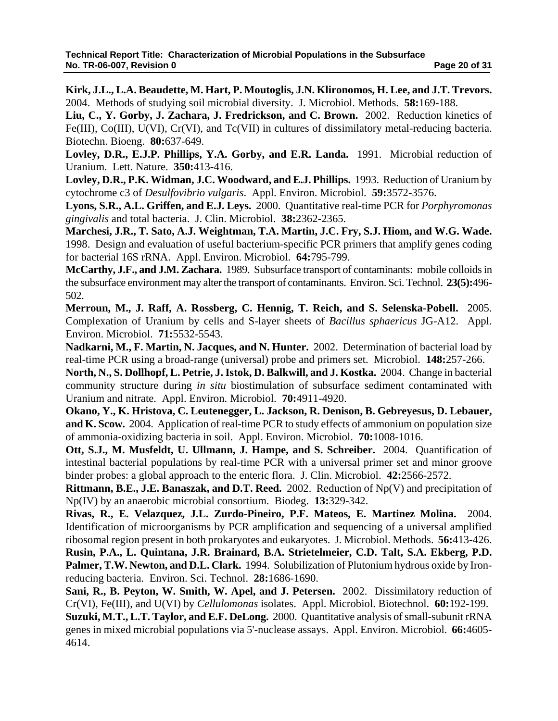**Kirk, J.L., L.A. Beaudette, M. Hart, P. Moutoglis, J.N. Klironomos, H. Lee, and J.T. Trevors.** 2004. Methods of studying soil microbial diversity. J. Microbiol. Methods. **58:**169-188.

**Liu, C., Y. Gorby, J. Zachara, J. Fredrickson, and C. Brown.** 2002. Reduction kinetics of Fe(III), Co(III), U(VI), Cr(VI), and Tc(VII) in cultures of dissimilatory metal-reducing bacteria. Biotechn. Bioeng. **80:**637-649.

**Lovley, D.R., E.J.P. Phillips, Y.A. Gorby, and E.R. Landa.** 1991. Microbial reduction of Uranium. Lett. Nature. **350:**413-416.

**Lovley, D.R., P.K. Widman, J.C. Woodward, and E.J. Phillips.** 1993. Reduction of Uranium by cytochrome c3 of *Desulfovibrio vulgaris*. Appl. Environ. Microbiol. **59:**3572-3576.

**Lyons, S.R., A.L. Griffen, and E.J. Leys.** 2000. Quantitative real-time PCR for *Porphyromonas gingivalis* and total bacteria. J. Clin. Microbiol. **38:**2362-2365.

**Marchesi, J.R., T. Sato, A.J. Weightman, T.A. Martin, J.C. Fry, S.J. Hiom, and W.G. Wade.** 1998. Design and evaluation of useful bacterium-specific PCR primers that amplify genes coding for bacterial 16S rRNA. Appl. Environ. Microbiol. **64:**795-799.

**McCarthy, J.F., and J.M. Zachara.** 1989. Subsurface transport of contaminants: mobile colloids in the subsurface environment may alter the transport of contaminants. Environ. Sci. Technol. **23(5):**496- 502.

**Merroun, M., J. Raff, A. Rossberg, C. Hennig, T. Reich, and S. Selenska-Pobell.** 2005. Complexation of Uranium by cells and S-layer sheets of *Bacillus sphaericus* JG-A12. Appl. Environ. Microbiol. **71:**5532-5543.

**Nadkarni, M., F. Martin, N. Jacques, and N. Hunter.** 2002. Determination of bacterial load by real-time PCR using a broad-range (universal) probe and primers set. Microbiol. **148:**257-266.

**North, N., S. Dollhopf, L. Petrie, J. Istok, D. Balkwill, and J. Kostka.** 2004. Change in bacterial community structure during *in situ* biostimulation of subsurface sediment contaminated with Uranium and nitrate. Appl. Environ. Microbiol. **70:**4911-4920.

**Okano, Y., K. Hristova, C. Leutenegger, L. Jackson, R. Denison, B. Gebreyesus, D. Lebauer, and K. Scow.** 2004. Application of real-time PCR to study effects of ammonium on population size of ammonia-oxidizing bacteria in soil. Appl. Environ. Microbiol. **70:**1008-1016.

**Ott, S.J., M. Musfeldt, U. Ullmann, J. Hampe, and S. Schreiber.** 2004. Quantification of intestinal bacterial populations by real-time PCR with a universal primer set and minor groove binder probes: a global approach to the enteric flora. J. Clin. Microbiol. **42:**2566-2572.

**Rittmann, B.E., J.E. Banaszak, and D.T. Reed.** 2002. Reduction of Np(V) and precipitation of Np(IV) by an anaerobic microbial consortium. Biodeg. **13:**329-342.

**Rivas, R., E. Velazquez, J.L. Zurdo-Pineiro, P.F. Mateos, E. Martinez Molina.** 2004. Identification of microorganisms by PCR amplification and sequencing of a universal amplified ribosomal region present in both prokaryotes and eukaryotes. J. Microbiol. Methods. **56:**413-426.

**Rusin, P.A., L. Quintana, J.R. Brainard, B.A. Strietelmeier, C.D. Talt, S.A. Ekberg, P.D. Palmer, T.W. Newton, and D.L. Clark.** 1994. Solubilization of Plutonium hydrous oxide by Ironreducing bacteria. Environ. Sci. Technol. **28:**1686-1690.

**Sani, R., B. Peyton, W. Smith, W. Apel, and J. Petersen.** 2002. Dissimilatory reduction of Cr(VI), Fe(III), and U(VI) by *Cellulomonas* isolates. Appl. Microbiol. Biotechnol. **60:**192-199.

**Suzuki, M.T., L.T. Taylor, and E.F. DeLong.** 2000. Quantitative analysis of small-subunit rRNA genes in mixed microbial populations via 5'-nuclease assays. Appl. Environ. Microbiol. **66:**4605- 4614.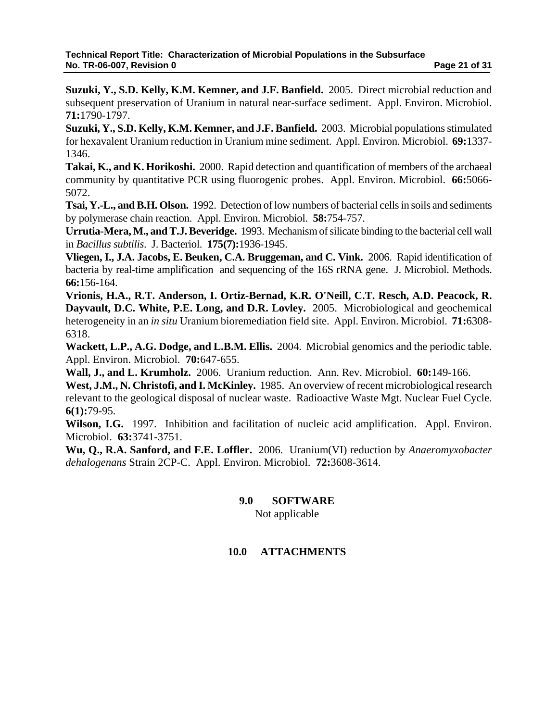**Suzuki, Y., S.D. Kelly, K.M. Kemner, and J.F. Banfield.** 2005. Direct microbial reduction and subsequent preservation of Uranium in natural near-surface sediment. Appl. Environ. Microbiol. **71:**1790-1797.

**Suzuki, Y., S.D. Kelly, K.M. Kemner, and J.F. Banfield.** 2003. Microbial populations stimulated for hexavalent Uranium reduction in Uranium mine sediment. Appl. Environ. Microbiol. **69:**1337- 1346.

**Takai, K., and K. Horikoshi.** 2000. Rapid detection and quantification of members of the archaeal community by quantitative PCR using fluorogenic probes. Appl. Environ. Microbiol. **66:**5066- 5072.

**Tsai, Y.-L., and B.H. Olson.** 1992. Detection of low numbers of bacterial cells in soils and sediments by polymerase chain reaction. Appl. Environ. Microbiol. **58:**754-757.

**Urrutia-Mera, M., and T.J. Beveridge.** 1993. Mechanism of silicate binding to the bacterial cell wall in *Bacillus subtilis*. J. Bacteriol. **175(7):**1936-1945.

**Vliegen, I., J.A. Jacobs, E. Beuken, C.A. Bruggeman, and C. Vink.** 2006. Rapid identification of bacteria by real-time amplification and sequencing of the 16S rRNA gene. J. Microbiol. Methods. **66:**156-164.

**Vrionis, H.A., R.T. Anderson, I. Ortiz-Bernad, K.R. O'Neill, C.T. Resch, A.D. Peacock, R. Dayvault, D.C. White, P.E. Long, and D.R. Lovley.** 2005. Microbiological and geochemical heterogeneity in an *in situ* Uranium bioremediation field site. Appl. Environ. Microbiol. **71:**6308- 6318.

**Wackett, L.P., A.G. Dodge, and L.B.M. Ellis.** 2004. Microbial genomics and the periodic table. Appl. Environ. Microbiol. **70:**647-655.

**Wall, J., and L. Krumholz.** 2006. Uranium reduction. Ann. Rev. Microbiol. **60:**149-166.

**West, J.M., N. Christofi, and I. McKinley.** 1985. An overview of recent microbiological research relevant to the geological disposal of nuclear waste. Radioactive Waste Mgt. Nuclear Fuel Cycle. **6(1):**79-95.

**Wilson, I.G.** 1997. Inhibition and facilitation of nucleic acid amplification. Appl. Environ. Microbiol. **63:**3741-3751.

**Wu, Q., R.A. Sanford, and F.E. Loffler.** 2006. Uranium(VI) reduction by *Anaeromyxobacter dehalogenans* Strain 2CP-C. Appl. Environ. Microbiol. **72:**3608-3614.

# **9.0 SOFTWARE**  Not applicable

# **10.0 ATTACHMENTS**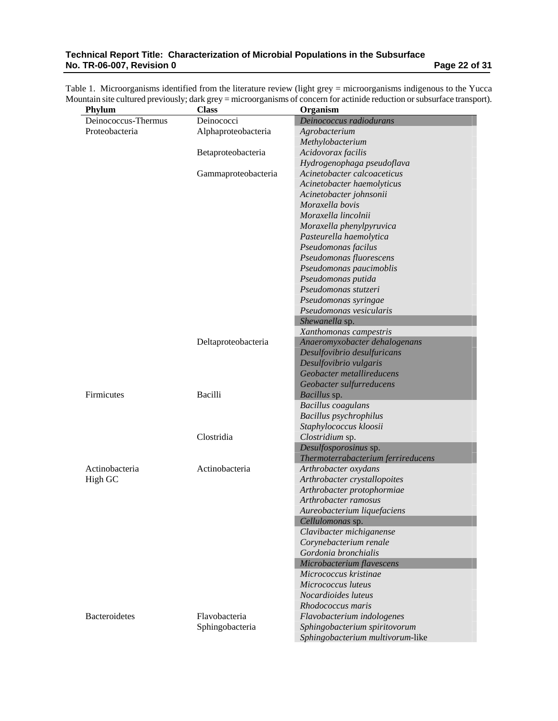#### **Technical Report Title: Characterization of Microbial Populations in the Subsurface No. TR-06-007, Revision 0 Page 22 of 31**

|  | Table 1. Microorganisms identified from the literature review (light grey = microorganisms indigenous to the Yucca        |  |  |  |
|--|---------------------------------------------------------------------------------------------------------------------------|--|--|--|
|  | Mountain site cultured previously; dark grey = microorganisms of concern for actinide reduction or subsurface transport). |  |  |  |

| Phylum               | <b>Class</b>        | Organism                           |
|----------------------|---------------------|------------------------------------|
| Deinococcus-Thermus  | Deinococci          | Deinococcus radiodurans            |
| Proteobacteria       | Alphaproteobacteria | Agrobacterium                      |
|                      |                     | Methylobacterium                   |
|                      | Betaproteobacteria  | Acidovorax facilis                 |
|                      |                     | Hydrogenophaga pseudoflava         |
|                      | Gammaproteobacteria | Acinetobacter calcoaceticus        |
|                      |                     | Acinetobacter haemolyticus         |
|                      |                     | Acinetobacter johnsonii            |
|                      |                     | Moraxella bovis                    |
|                      |                     | Moraxella lincolnii                |
|                      |                     | Moraxella phenylpyruvica           |
|                      |                     | Pasteurella haemolytica            |
|                      |                     | Pseudomonas facilus                |
|                      |                     | Pseudomonas fluorescens            |
|                      |                     | Pseudomonas paucimoblis            |
|                      |                     | Pseudomonas putida                 |
|                      |                     | Pseudomonas stutzeri               |
|                      |                     | Pseudomonas syringae               |
|                      |                     | Pseudomonas vesicularis            |
|                      |                     | Shewanella sp.                     |
|                      |                     | Xanthomonas campestris             |
|                      | Deltaproteobacteria | Anaeromyxobacter dehalogenans      |
|                      |                     | Desulfovibrio desulfuricans        |
|                      |                     | Desulfovibrio vulgaris             |
|                      |                     | Geobacter metallireducens          |
|                      |                     | Geobacter sulfurreducens           |
| Firmicutes           | Bacilli             | Bacillus sp.                       |
|                      |                     | <b>Bacillus</b> coagulans          |
|                      |                     | Bacillus psychrophilus             |
|                      |                     | Staphylococcus kloosii             |
|                      | Clostridia          | Clostridium sp.                    |
|                      |                     | Desulfosporosinus sp.              |
|                      |                     | Thermoterrabacterium ferrireducens |
| Actinobacteria       | Actinobacteria      | Arthrobacter oxydans               |
| High GC              |                     | Arthrobacter crystallopoites       |
|                      |                     | Arthrobacter protophormiae         |
|                      |                     | Arthrobacter ramosus               |
|                      |                     | Aureobacterium liquefaciens        |
|                      |                     | Cellulomonas sp.                   |
|                      |                     | Clavibacter michiganense           |
|                      |                     | Corynebacterium renale             |
|                      |                     | Gordonia bronchialis               |
|                      |                     | Microbacterium flavescens          |
|                      |                     | Micrococcus kristinae              |
|                      |                     | Micrococcus luteus                 |
|                      |                     | Nocardioides luteus                |
|                      |                     | Rhodococcus maris                  |
| <b>Bacteroidetes</b> | Flavobacteria       | Flavobacterium indologenes         |
|                      | Sphingobacteria     | Sphingobacterium spiritovorum      |
|                      |                     | Sphingobacterium multivorum-like   |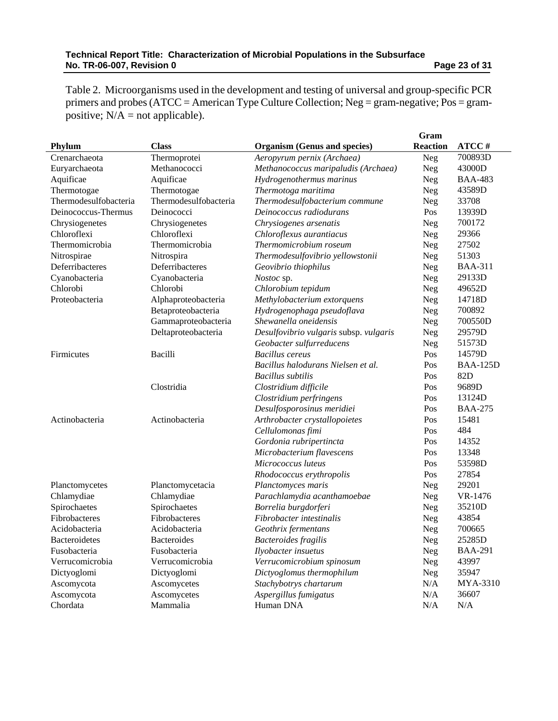| Table 2. Microorganisms used in the development and testing of universal and group-specific PCR  |
|--------------------------------------------------------------------------------------------------|
| primers and probes ( $ATCC = American Type$ Culture Collection; Neg = gram-negative; Pos = gram- |
| positive; $N/A$ = not applicable).                                                               |

|                       |                       |                                        | Gram            |                 |
|-----------------------|-----------------------|----------------------------------------|-----------------|-----------------|
| Phylum                | <b>Class</b>          | <b>Organism (Genus and species)</b>    | <b>Reaction</b> | ATCC#           |
| Crenarchaeota         | Thermoprotei          | Aeropyrum pernix (Archaea)             | <b>Neg</b>      | 700893D         |
| Euryarchaeota         | Methanococci          | Methanococcus maripaludis (Archaea)    | Neg             | 43000D          |
| Aquificae             | Aquificae             | Hydrogenothermus marinus               | Neg             | <b>BAA-483</b>  |
| Thermotogae           | Thermotogae           | Thermotoga maritima                    | Neg             | 43589D          |
| Thermodesulfobacteria | Thermodesulfobacteria | Thermodesulfobacterium commune         | Neg             | 33708           |
| Deinococcus-Thermus   | Deinococci            | Deinococcus radiodurans                | Pos             | 13939D          |
| Chrysiogenetes        | Chrysiogenetes        | Chrysiogenes arsenatis                 | Neg             | 700172          |
| Chloroflexi           | Chloroflexi           | Chloroflexus aurantiacus               | Neg             | 29366           |
| Thermomicrobia        | Thermomicrobia        | Thermomicrobium roseum                 | Neg             | 27502           |
| Nitrospirae           | Nitrospira            | Thermodesulfovibrio yellowstonii       | Neg             | 51303           |
| Deferribacteres       | Deferribacteres       | Geovibrio thiophilus                   | Neg             | <b>BAA-311</b>  |
| Cyanobacteria         | Cyanobacteria         | Nostoc sp.                             | Neg             | 29133D          |
| Chlorobi              | Chlorobi              | Chlorobium tepidum                     | Neg             | 49652D          |
| Proteobacteria        | Alphaproteobacteria   | Methylobacterium extorquens            | Neg             | 14718D          |
|                       | Betaproteobacteria    | Hydrogenophaga pseudoflava             | Neg             | 700892          |
|                       | Gammaproteobacteria   | Shewanella oneidensis                  | Neg             | 700550D         |
|                       | Deltaproteobacteria   | Desulfovibrio vulgaris subsp. vulgaris | Neg             | 29579D          |
|                       |                       | Geobacter sulfurreducens               | Neg             | 51573D          |
| Firmicutes            | Bacilli               | <b>Bacillus</b> cereus                 | Pos             | 14579D          |
|                       |                       | Bacillus halodurans Nielsen et al.     | Pos             | <b>BAA-125D</b> |
|                       |                       | <b>Bacillus</b> subtilis               | Pos             | 82D             |
|                       | Clostridia            | Clostridium difficile                  | Pos             | 9689D           |
|                       |                       | Clostridium perfringens                | Pos             | 13124D          |
|                       |                       | Desulfosporosinus meridiei             | Pos             | <b>BAA-275</b>  |
| Actinobacteria        | Actinobacteria        | Arthrobacter crystallopoietes          | Pos             | 15481           |
|                       |                       | Cellulomonas fimi                      | Pos             | 484             |
|                       |                       | Gordonia rubripertincta                | Pos             | 14352           |
|                       |                       | Microbacterium flavescens              | Pos             | 13348           |
|                       |                       | Micrococcus luteus                     | Pos             | 53598D          |
|                       |                       | Rhodococcus erythropolis               | Pos             | 27854           |
| Planctomycetes        | Planctomycetacia      | Planctomyces maris                     | <b>Neg</b>      | 29201           |
| Chlamydiae            | Chlamydiae            | Parachlamydia acanthamoebae            | <b>Neg</b>      | VR-1476         |
| Spirochaetes          | Spirochaetes          | Borrelia burgdorferi                   | Neg             | 35210D          |
| Fibrobacteres         | Fibrobacteres         | Fibrobacter intestinalis               | Neg             | 43854           |
| Acidobacteria         | Acidobacteria         | Geothrix fermentans                    | Neg             | 700665          |
| <b>Bacteroidetes</b>  | <b>Bacteroides</b>    | <b>Bacteroides</b> fragilis            | Neg             | 25285D          |
| Fusobacteria          | Fusobacteria          | Ilyobacter insuetus                    | <b>Neg</b>      | <b>BAA-291</b>  |
| Verrucomicrobia       | Verrucomicrobia       | Verrucomicrobium spinosum              | Neg             | 43997           |
| Dictyoglomi           | Dictyoglomi           | Dictyoglomus thermophilum              | <b>Neg</b>      | 35947           |
| Ascomycota            | Ascomycetes           | Stachybotrys chartarum                 | N/A             | MYA-3310        |
| Ascomycota            | Ascomycetes           | Aspergillus fumigatus                  | N/A             | 36607           |
| Chordata              | Mammalia              | Human DNA                              | N/A             | N/A             |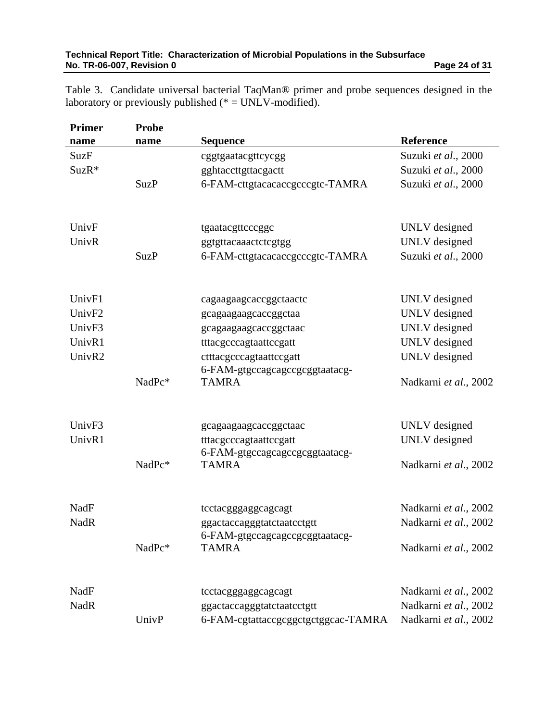Table 3. Candidate universal bacterial TaqMan® primer and probe sequences designed in the laboratory or previously published ( $* = UNLV$ -modified).

| <b>Primer</b> | <b>Probe</b> |                                     |                       |
|---------------|--------------|-------------------------------------|-----------------------|
| name          | name         | <b>Sequence</b>                     | Reference             |
| <b>SuzF</b>   |              | cggtgaatacgttcycgg                  | Suzuki et al., 2000   |
| SuzR*         |              | gghtaccttgttacgactt                 | Suzuki et al., 2000   |
|               | <b>SuzP</b>  | 6-FAM-cttgtacacaccgcccgtc-TAMRA     | Suzuki et al., 2000   |
| UnivF         |              | tgaatacgttcccggc                    | UNLV designed         |
| UnivR         |              | ggtgttacaaactctcgtgg                | UNLV designed         |
|               | <b>SuzP</b>  | 6-FAM-cttgtacacaccgcccgtc-TAMRA     | Suzuki et al., 2000   |
| UnivF1        |              | cagaagaagcaccggctaactc              | UNLV designed         |
| UnivF2        |              | gcagaagaagcaccggctaa                | UNLV designed         |
| UnivF3        |              | gcagaagaagcaccggctaac               | UNLV designed         |
| UnivR1        |              | tttacgcccagtaattccgatt              | UNLV designed         |
| UnivR2        |              | ctttacgcccagtaattccgatt             | UNLV designed         |
|               |              | 6-FAM-gtgccagcagccgcggtaatacg-      |                       |
|               | NadPc*       | <b>TAMRA</b>                        | Nadkarni et al., 2002 |
| UnivF3        |              | gcagaagaagcaccggctaac               | UNLV designed         |
| UnivR1        |              | tttacgcccagtaattccgatt              | UNLV designed         |
|               |              | 6-FAM-gtgccagcagccgcggtaatacg-      |                       |
|               | NadPc*       | <b>TAMRA</b>                        | Nadkarni et al., 2002 |
| NadF          |              | tcctacgggaggcagcagt                 | Nadkarni et al., 2002 |
| <b>NadR</b>   |              | ggactaccagggtatctaatcctgtt          | Nadkarni et al., 2002 |
|               |              | 6-FAM-gtgccagcagccgcggtaatacg-      |                       |
|               | NadPc*       | <b>TAMRA</b>                        | Nadkarni et al., 2002 |
| NadF          |              | tcctacgggaggcagcagt                 | Nadkarni et al., 2002 |
| <b>NadR</b>   |              | ggactaccagggtatctaatcctgtt          | Nadkarni et al., 2002 |
|               | UnivP        | 6-FAM-cgtattaccgcggctgctggcac-TAMRA | Nadkarni et al., 2002 |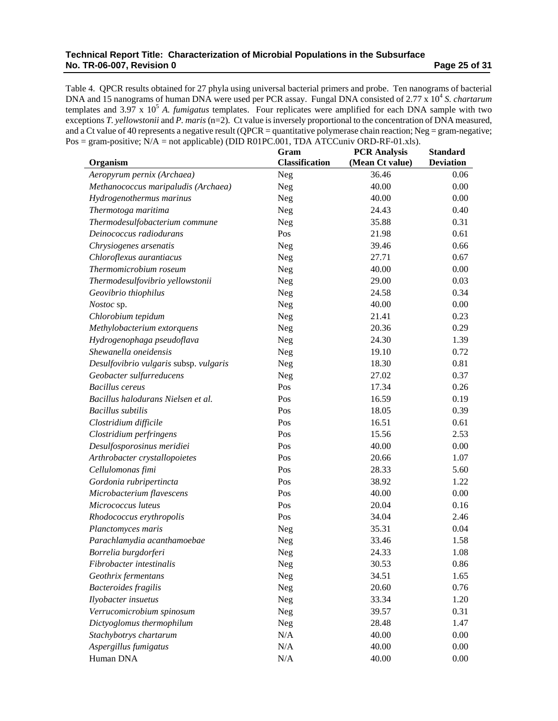#### **Technical Report Title: Characterization of Microbial Populations in the Subsurface No. TR-06-007, Revision 0 Page 25 of 31 Page 25 of 31 Page 25 of 31 Page 25 of 31 Page 25 of 31 Page 25 of 31 Page 25 of 31 Page 25 of 31 Page 25 of 31 Page 25 of 31 Page 25 of 31 Page 25 of 31 Page 25 of 31 Page 25 of 31**

Table 4. QPCR results obtained for 27 phyla using universal bacterial primers and probe. Ten nanograms of bacterial DNA and 15 nanograms of human DNA were used per PCR assay. Fungal DNA consisted of 2.77 x 10<sup>4</sup> *S. chartarum* templates and 3.97 x 10<sup>5</sup> A. *fumigatus* templates. Four replicates were amplified for each DNA sample with two exceptions *T. yellowstonii* and *P. maris* (n=2). Ct value is inversely proportional to the concentration of DNA measured, and a Ct value of 40 represents a negative result (QPCR = quantitative polymerase chain reaction; Neg = gram-negative;  $Pos = gram-positive$ ;  $N/A = not applicable$ ) (DID R01PC.001, TDA ATCCuniv ORD-RF-01.xls).

|                                        | Gram                  | <b>PCR Analysis</b> | <b>Standard</b>  |
|----------------------------------------|-----------------------|---------------------|------------------|
| Organism                               | <b>Classification</b> | (Mean Ct value)     | <b>Deviation</b> |
| Aeropyrum pernix (Archaea)             | Neg                   | 36.46               | 0.06             |
| Methanococcus maripaludis (Archaea)    | Neg                   | 40.00               | 0.00             |
| Hydrogenothermus marinus               | Neg                   | 40.00               | 0.00             |
| Thermotoga maritima                    | Neg                   | 24.43               | 0.40             |
| Thermodesulfobacterium commune         | Neg                   | 35.88               | 0.31             |
| Deinococcus radiodurans                | Pos                   | 21.98               | 0.61             |
| Chrysiogenes arsenatis                 | Neg                   | 39.46               | 0.66             |
| Chloroflexus aurantiacus               | Neg                   | 27.71               | 0.67             |
| Thermomicrobium roseum                 | Neg                   | 40.00               | 0.00             |
| Thermodesulfovibrio yellowstonii       | Neg                   | 29.00               | 0.03             |
| Geovibrio thiophilus                   | Neg                   | 24.58               | 0.34             |
| Nostoc sp.                             | Neg                   | 40.00               | 0.00             |
| Chlorobium tepidum                     | Neg                   | 21.41               | 0.23             |
| Methylobacterium extorquens            | Neg                   | 20.36               | 0.29             |
| Hydrogenophaga pseudoflava             | Neg                   | 24.30               | 1.39             |
| Shewanella oneidensis                  | Neg                   | 19.10               | 0.72             |
| Desulfovibrio vulgaris subsp. vulgaris | Neg                   | 18.30               | 0.81             |
| Geobacter sulfurreducens               | Neg                   | 27.02               | 0.37             |
| <b>Bacillus cereus</b>                 | Pos                   | 17.34               | 0.26             |
| Bacillus halodurans Nielsen et al.     | Pos                   | 16.59               | 0.19             |
| <b>Bacillus</b> subtilis               | Pos                   | 18.05               | 0.39             |
| Clostridium difficile                  | Pos                   | 16.51               | 0.61             |
| Clostridium perfringens                | Pos                   | 15.56               | 2.53             |
| Desulfosporosinus meridiei             | Pos                   | 40.00               | 0.00             |
| Arthrobacter crystallopoietes          | Pos                   | 20.66               | 1.07             |
| Cellulomonas fimi                      | Pos                   | 28.33               | 5.60             |
| Gordonia rubripertincta                | Pos                   | 38.92               | 1.22             |
| Microbacterium flavescens              | Pos                   | 40.00               | 0.00             |
| Micrococcus luteus                     | Pos                   | 20.04               | 0.16             |
| Rhodococcus erythropolis               | Pos                   | 34.04               | 2.46             |
| Planctomyces maris                     | Neg                   | 35.31               | 0.04             |
| Parachlamydia acanthamoebae            | Neg                   | 33.46               | 1.58             |
| Borrelia burgdorferi                   | Neg                   | 24.33               | 1.08             |
| Fibrobacter intestinalis               | Neg                   | 30.53               | 0.86             |
| Geothrix fermentans                    | Neg                   | 34.51               | 1.65             |
| <b>Bacteroides fragilis</b>            | Neg                   | 20.60               | 0.76             |
| Ilyobacter insuetus                    | Neg                   | 33.34               | 1.20             |
| Verrucomicrobium spinosum              | Neg                   | 39.57               | 0.31             |
| Dictyoglomus thermophilum              | Neg                   | 28.48               | 1.47             |
| Stachybotrys chartarum                 | N/A                   | 40.00               | 0.00             |
| Aspergillus fumigatus                  | N/A                   | 40.00               | 0.00             |
| Human DNA                              | N/A                   | 40.00               | 0.00             |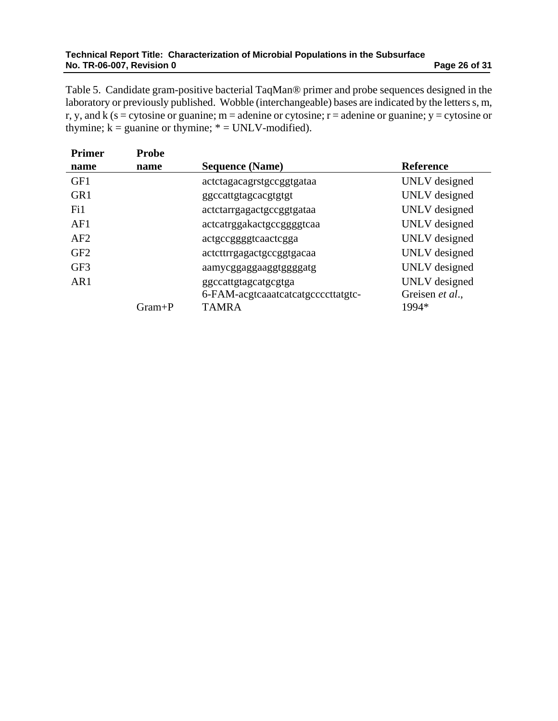#### **Technical Report Title: Characterization of Microbial Populations in the Subsurface No. TR-06-007, Revision 0 Page 26 of 31 Page 26 of 31 Page 26 of 31 Page 26 of 31**

Table 5. Candidate gram-positive bacterial TaqMan® primer and probe sequences designed in the laboratory or previously published. Wobble (interchangeable) bases are indicated by the letters s, m, r, y, and k (s = cytosine or guanine; m = adenine or cytosine;  $r =$  adenine or guanine; y = cytosine or thymine;  $k =$  guanine or thymine;  $* = UNLV$ -modified).

| <b>Primer</b>   | <b>Probe</b> |                                    |                  |
|-----------------|--------------|------------------------------------|------------------|
| name            | name         | <b>Sequence (Name)</b>             | <b>Reference</b> |
| GF1             |              | actctagacagrstgccggtgataa          | UNLV designed    |
| GR <sub>1</sub> |              | ggccattgtagcacgtgtgt               | UNLV designed    |
| Fi1             |              | actctarrgagactgccggtgataa          | UNLV designed    |
| AF1             |              | actcatrggakactgccggggtcaa          | UNLV designed    |
| AF2             |              | actgccggggtcaactcgga               | UNLV designed    |
| GF <sub>2</sub> |              | actcttrrgagactgccggtgacaa          | UNLV designed    |
| GF3             |              | aamycggaggaaggtggggatg             | UNLV designed    |
| AR1             |              | ggccattgtagcatgcgtga               | UNLV designed    |
|                 |              | 6-FAM-acgtcaaatcatcatgccccttatgtc- | Greisen et al.,  |
|                 | $Gram+P$     | <b>TAMRA</b>                       | 1994*            |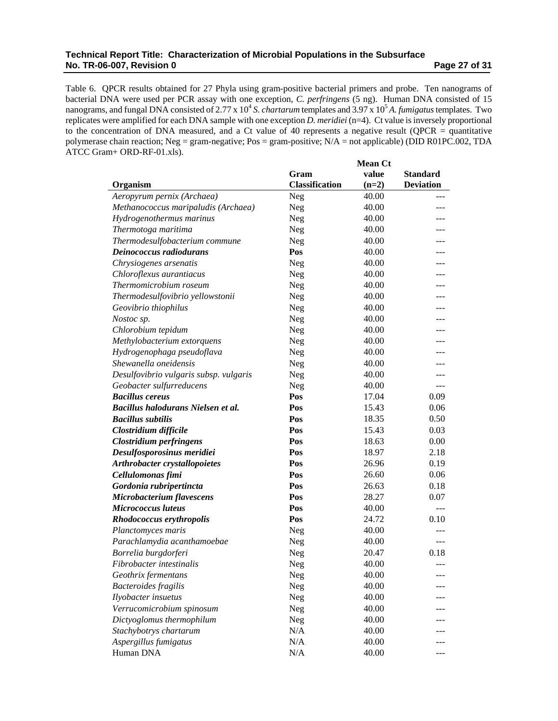#### **Technical Report Title: Characterization of Microbial Populations in the Subsurface No. TR-06-007, Revision 0 Page 27 of 31 Page 27 of 31 Page 27 of 31 Page 27 of 31 Page 27 of 31 Page 27 of 31 Page 27 of 31 Page 27 of 31 Page 27 of 31 Page 27 of 31 Page 27 of 31 Page 27 of 31 Page 27 of 31 Page 27 of 31**

Table 6. QPCR results obtained for 27 Phyla using gram-positive bacterial primers and probe. Ten nanograms of bacterial DNA were used per PCR assay with one exception, *C. perfringens* (5 ng). Human DNA consisted of 15 nanograms, and fungal DNA consisted of 2.77 x 10<sup>4</sup> *S. chartarum* templates and 3.97 x 10<sup>5</sup> *A. fumigatus* templates. Two replicates were amplified for each DNA sample with one exception *D. meridiei* (n=4). Ct value is inversely proportional to the concentration of DNA measured, and a Ct value of 40 represents a negative result (QPCR = quantitative polymerase chain reaction; Neg = gram-negative; Pos = gram-positive; N/A = not applicable) (DID R01PC.002, TDA ATCC Gram+ ORD-RF-01.xls).

|                                        |                       | <b>Mean Ct</b> |                  |
|----------------------------------------|-----------------------|----------------|------------------|
|                                        | Gram                  | value          | <b>Standard</b>  |
| Organism                               | <b>Classification</b> | $(n=2)$        | <b>Deviation</b> |
| Aeropyrum pernix (Archaea)             | Neg                   | 40.00          |                  |
| Methanococcus maripaludis (Archaea)    | Neg                   | 40.00          |                  |
| Hydrogenothermus marinus               | Neg                   | 40.00          |                  |
| Thermotoga maritima                    | <b>Neg</b>            | 40.00          |                  |
| Thermodesulfobacterium commune         | <b>Neg</b>            | 40.00          |                  |
| Deinococcus radiodurans                | Pos                   | 40.00          |                  |
| Chrysiogenes arsenatis                 | Neg                   | 40.00          |                  |
| Chloroflexus aurantiacus               | <b>Neg</b>            | 40.00          |                  |
| Thermomicrobium roseum                 | <b>Neg</b>            | 40.00          |                  |
| Thermodesulfovibrio yellowstonii       | <b>Neg</b>            | 40.00          | ---              |
| Geovibrio thiophilus                   | Neg                   | 40.00          | ---              |
| Nostoc sp.                             | Neg                   | 40.00          | ---              |
| Chlorobium tepidum                     | Neg                   | 40.00          | ---              |
| Methylobacterium extorquens            | Neg                   | 40.00          |                  |
| Hydrogenophaga pseudoflava             | Neg                   | 40.00          |                  |
| Shewanella oneidensis                  | Neg                   | 40.00          | ---              |
| Desulfovibrio vulgaris subsp. vulgaris | Neg                   | 40.00          |                  |
| Geobacter sulfurreducens               | Neg                   | 40.00          | ---              |
| <b>Bacillus cereus</b>                 | Pos                   | 17.04          | 0.09             |
| Bacillus halodurans Nielsen et al.     | Pos                   | 15.43          | 0.06             |
| <b>Bacillus subtilis</b>               | Pos                   | 18.35          | 0.50             |
| Clostridium difficile                  | Pos                   | 15.43          | 0.03             |
| <b>Clostridium perfringens</b>         | Pos                   | 18.63          | 0.00             |
| Desulfosporosinus meridiei             | Pos                   | 18.97          | 2.18             |
| Arthrobacter crystallopoietes          | Pos                   | 26.96          | 0.19             |
| Cellulomonas fimi                      | Pos                   | 26.60          | 0.06             |
| Gordonia rubripertincta                | Pos                   | 26.63          | 0.18             |
| Microbacterium flavescens              | Pos                   | 28.27          | 0.07             |
| <b>Micrococcus</b> luteus              | Pos                   | 40.00          | $---$            |
| Rhodococcus erythropolis               | Pos                   | 24.72          | 0.10             |
| Planctomyces maris                     | <b>Neg</b>            | 40.00          |                  |
| Parachlamydia acanthamoebae            | <b>Neg</b>            | 40.00          | ---              |
| Borrelia burgdorferi                   | Neg                   | 20.47          | 0.18             |
| Fibrobacter intestinalis               | Neg                   | 40.00          |                  |
| Geothrix fermentans                    | Neg                   | 40.00          |                  |
| <b>Bacteroides</b> fragilis            | Neg                   | 40.00          |                  |
| Ilyobacter insuetus                    | Neg                   | 40.00          |                  |
| Verrucomicrobium spinosum              | Neg                   | 40.00          |                  |
| Dictyoglomus thermophilum              | Neg                   | 40.00          |                  |
| Stachybotrys chartarum                 | N/A                   | 40.00          |                  |
| Aspergillus fumigatus                  | N/A                   | 40.00          |                  |
| Human DNA                              | N/A                   | 40.00          |                  |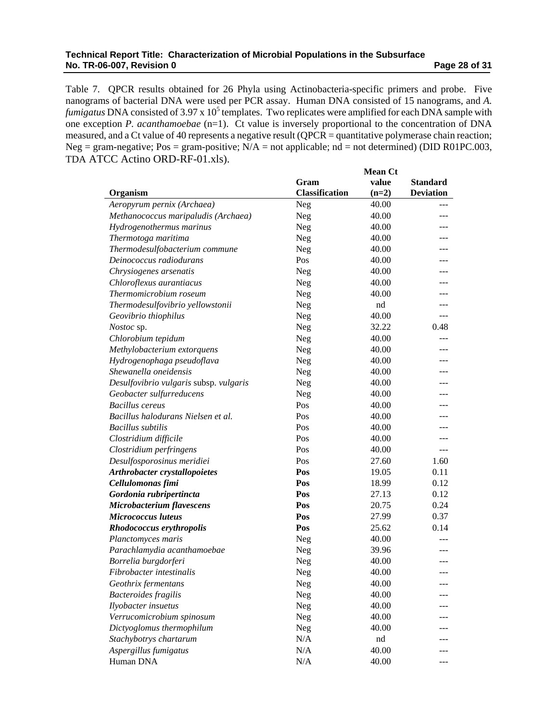#### **Technical Report Title: Characterization of Microbial Populations in the Subsurface No. TR-06-007, Revision 0 Page 28 of 31 Page 28 of 31 Page 28 of 31 Page 28 of 31**

Table 7. QPCR results obtained for 26 Phyla using Actinobacteria-specific primers and probe. Five nanograms of bacterial DNA were used per PCR assay. Human DNA consisted of 15 nanograms, and *A. fumigatus* DNA consisted of 3.97 x  $10^5$  templates. Two replicates were amplified for each DNA sample with one exception *P. acanthamoebae* (n=1). Ct value is inversely proportional to the concentration of DNA measured, and a Ct value of 40 represents a negative result (QPCR = quantitative polymerase chain reaction; Neg = gram-negative; Pos = gram-positive;  $N/A$  = not applicable; nd = not determined) (DID R01PC.003, TDA ATCC Actino ORD-RF-01.xls).

|                                        | <b>Mean Ct</b>        |         |                  |
|----------------------------------------|-----------------------|---------|------------------|
|                                        | Gram                  | value   | <b>Standard</b>  |
| Organism                               | <b>Classification</b> | $(n=2)$ | <b>Deviation</b> |
| Aeropyrum pernix (Archaea)             | Neg                   | 40.00   |                  |
| Methanococcus maripaludis (Archaea)    | Neg                   | 40.00   | ---              |
| Hydrogenothermus marinus               | Neg                   | 40.00   |                  |
| Thermotoga maritima                    | Neg                   | 40.00   |                  |
| Thermodesulfobacterium commune         | Neg                   | 40.00   |                  |
| Deinococcus radiodurans                | Pos                   | 40.00   |                  |
| Chrysiogenes arsenatis                 | Neg                   | 40.00   | ---              |
| Chloroflexus aurantiacus               | <b>Neg</b>            | 40.00   |                  |
| Thermomicrobium roseum                 | Neg                   | 40.00   |                  |
| Thermodesulfovibrio yellowstonii       | <b>Neg</b>            | nd      |                  |
| Geovibrio thiophilus                   | <b>Neg</b>            | 40.00   | $---$            |
| <i>Nostoc</i> sp.                      | Neg                   | 32.22   | 0.48             |
| Chlorobium tepidum                     | Neg                   | 40.00   |                  |
| Methylobacterium extorquens            | Neg                   | 40.00   | ---              |
| Hydrogenophaga pseudoflava             | Neg                   | 40.00   | ---              |
| Shewanella oneidensis                  | Neg                   | 40.00   | ---              |
| Desulfovibrio vulgaris subsp. vulgaris | Neg                   | 40.00   | ---              |
| Geobacter sulfurreducens               | Neg                   | 40.00   |                  |
| <b>Bacillus</b> cereus                 | Pos                   | 40.00   | ---              |
| Bacillus halodurans Nielsen et al.     | Pos                   | 40.00   | ---              |
| <b>Bacillus</b> subtilis               | Pos                   | 40.00   |                  |
| Clostridium difficile                  | Pos                   | 40.00   |                  |
| Clostridium perfringens                | Pos                   | 40.00   | ---              |
| Desulfosporosinus meridiei             | Pos                   | 27.60   | 1.60             |
| Arthrobacter crystallopoietes          | Pos                   | 19.05   | 0.11             |
| Cellulomonas fimi                      | Pos                   | 18.99   | 0.12             |
| Gordonia rubripertincta                | Pos                   | 27.13   | 0.12             |
| Microbacterium flavescens              | Pos                   | 20.75   | 0.24             |
| <b>Micrococcus</b> luteus              | Pos                   | 27.99   | 0.37             |
| Rhodococcus erythropolis               | Pos                   | 25.62   | 0.14             |
| Planctomyces maris                     | Neg                   | 40.00   |                  |
| Parachlamydia acanthamoebae            | <b>Neg</b>            | 39.96   | ---              |
| Borrelia burgdorferi                   | Neg                   | 40.00   | $---$            |
| Fibrobacter intestinalis               | Neg                   | 40.00   |                  |
| Geothrix fermentans                    | Neg                   | 40.00   |                  |
| <b>Bacteroides</b> fragilis            | Neg                   | 40.00   |                  |
| Ilyobacter insuetus                    | Neg                   | 40.00   |                  |
| Verrucomicrobium spinosum              | Neg                   | 40.00   |                  |
| Dictyoglomus thermophilum              | Neg                   | 40.00   |                  |
| Stachybotrys chartarum                 | N/A                   | nd      |                  |
| Aspergillus fumigatus                  | N/A                   | 40.00   |                  |
| Human DNA                              | N/A                   | 40.00   |                  |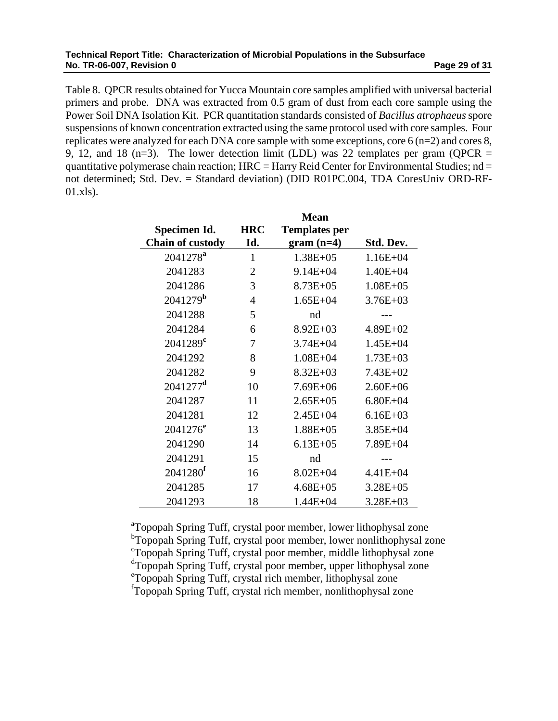#### **Technical Report Title: Characterization of Microbial Populations in the Subsurface No. TR-06-007, Revision 0 Page 29 of 31 <b>Page 29 of 31**

Table 8. QPCR results obtained for Yucca Mountain core samples amplified with universal bacterial primers and probe. DNA was extracted from 0.5 gram of dust from each core sample using the Power Soil DNA Isolation Kit. PCR quantitation standards consisted of *Bacillus atrophaeus* spore suspensions of known concentration extracted using the same protocol used with core samples. Four replicates were analyzed for each DNA core sample with some exceptions, core 6 (n=2) and cores 8, 9, 12, and 18 (n=3). The lower detection limit (LDL) was 22 templates per gram (QPCR  $=$ quantitative polymerase chain reaction;  $HRC =$  Harry Reid Center for Environmental Studies; nd = not determined; Std. Dev. = Standard deviation) (DID R01PC.004, TDA CoresUniv ORD-RF-01.xls).

|                         |                | <b>Mean</b>          |              |
|-------------------------|----------------|----------------------|--------------|
| Specimen Id.            | <b>HRC</b>     | <b>Templates per</b> |              |
| <b>Chain of custody</b> | Id.            | $gram (n=4)$         | Std. Dev.    |
| 2041278 <sup>a</sup>    | 1              | $1.38E + 05$         | $1.16E + 04$ |
| 2041283                 | $\overline{2}$ | $9.14E + 04$         | $1.40E + 04$ |
| 2041286                 | 3              | $8.73E + 05$         | $1.08E + 05$ |
| $2041279^b$             | $\overline{4}$ | $1.65E + 04$         | $3.76E + 03$ |
| 2041288                 | 5              | nd                   |              |
| 2041284                 | 6              | $8.92E + 03$         | $4.89E + 02$ |
| $2041289^{\rm c}$       | 7              | $3.74E + 04$         | $1.45E + 04$ |
| 2041292                 | 8              | $1.08E + 04$         | $1.73E + 03$ |
| 2041282                 | 9              | $8.32E + 03$         | $7.43E + 02$ |
| $2041277$ <sup>d</sup>  | 10             | $7.69E + 06$         | $2.60E + 06$ |
| 2041287                 | 11             | $2.65E + 05$         | $6.80E + 04$ |
| 2041281                 | 12             | $2.45E + 04$         | $6.16E + 03$ |
| $2041276^e$             | 13             | $1.88E + 05$         | $3.85E + 04$ |
| 2041290                 | 14             | $6.13E + 05$         | 7.89E+04     |
| 2041291                 | 15             | nd                   |              |
| 2041280 <sup>f</sup>    | 16             | $8.02E + 04$         | $4.41E + 04$ |
| 2041285                 | 17             | $4.68E + 05$         | $3.28E + 05$ |
| 2041293                 | 18             | $1.44E + 04$         | $3.28E + 03$ |

<sup>a</sup>Topopah Spring Tuff, crystal poor member, lower lithophysal zone <sup>b</sup>Topopah Spring Tuff, crystal poor member, lower nonlithophysal zone c Topopah Spring Tuff, crystal poor member, middle lithophysal zone d Topopah Spring Tuff, crystal poor member, upper lithophysal zone e Topopah Spring Tuff, crystal rich member, lithophysal zone f Topopah Spring Tuff, crystal rich member, nonlithophysal zone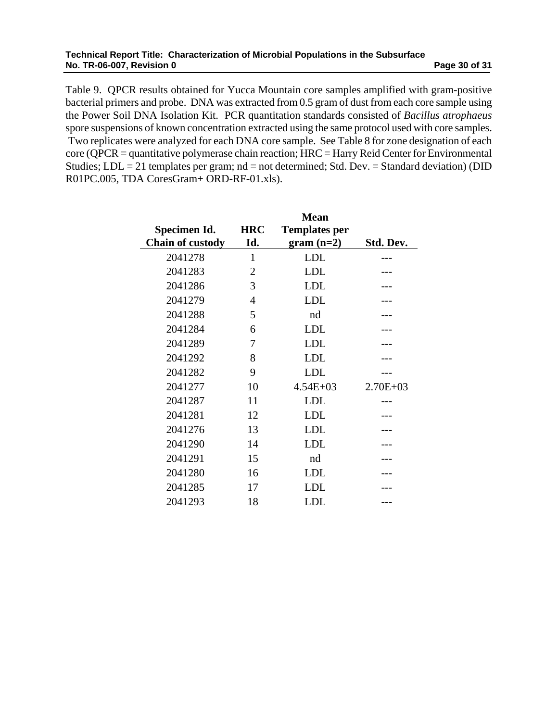#### **Technical Report Title: Characterization of Microbial Populations in the Subsurface No. TR-06-007, Revision 0 Page 30 of 31 Page 30 of 31 Page 30 of 31 Page 30 of 31**

Table 9. QPCR results obtained for Yucca Mountain core samples amplified with gram-positive bacterial primers and probe. DNA was extracted from 0.5 gram of dust from each core sample using the Power Soil DNA Isolation Kit. PCR quantitation standards consisted of *Bacillus atrophaeus* spore suspensions of known concentration extracted using the same protocol used with core samples. Two replicates were analyzed for each DNA core sample. See Table 8 for zone designation of each core (QPCR = quantitative polymerase chain reaction; HRC = Harry Reid Center for Environmental Studies;  $LDL = 21$  templates per gram;  $nd = not$  determined; Std. Dev. = Standard deviation) (DID R01PC.005, TDA CoresGram+ ORD-RF-01.xls).

|                         |                | <b>Mean</b>          |              |
|-------------------------|----------------|----------------------|--------------|
| Specimen Id.            | <b>HRC</b>     | <b>Templates per</b> |              |
| <b>Chain of custody</b> | Id.            | $gram (n=2)$         | Std. Dev.    |
| 2041278                 | 1              | <b>LDL</b>           |              |
| 2041283                 | 2              | <b>LDL</b>           |              |
| 2041286                 | 3              | <b>LDL</b>           |              |
| 2041279                 | $\overline{4}$ | <b>LDL</b>           |              |
| 2041288                 | 5              | nd                   |              |
| 2041284                 | 6              | <b>LDL</b>           |              |
| 2041289                 | 7              | <b>LDL</b>           |              |
| 2041292                 | 8              | <b>LDL</b>           |              |
| 2041282                 | 9              | <b>LDL</b>           |              |
| 2041277                 | 10             | $4.54E + 03$         | $2.70E + 03$ |
| 2041287                 | 11             | <b>LDL</b>           |              |
| 2041281                 | 12             | <b>LDL</b>           |              |
| 2041276                 | 13             | <b>LDL</b>           |              |
| 2041290                 | 14             | LDL                  |              |
| 2041291                 | 15             | nd                   |              |
| 2041280                 | 16             | <b>LDL</b>           |              |
| 2041285                 | 17             | LDL                  |              |
| 2041293                 | 18             | <b>LDL</b>           |              |